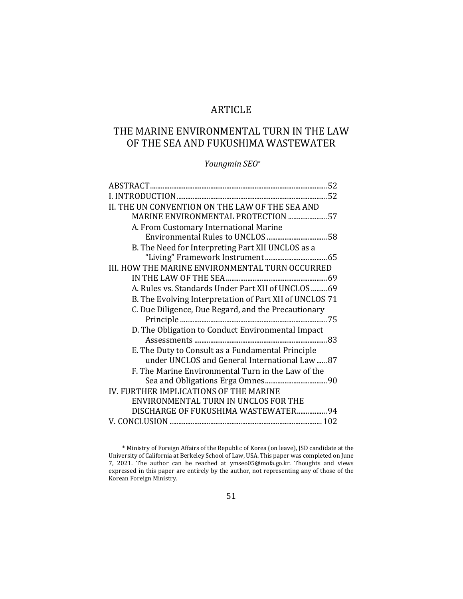# ARTICLE

# THE MARINE ENVIRONMENTAL TURN IN THE LAW OF THE SEA AND FUKUSHIMA WASTEWATER

# *Youngmin SEO\**

<sup>\*</sup> Ministry of Foreign Affairs of the Republic of Korea (on leave), JSD candidate at the University of California at Berkeley School of Law, USA. This paper was completed on June 7, 2021. The author can be reached at ymseo05@mofa.go.kr. Thoughts and views expressed in this paper are entirely by the author, not representing any of those of the Korean Foreign Ministry.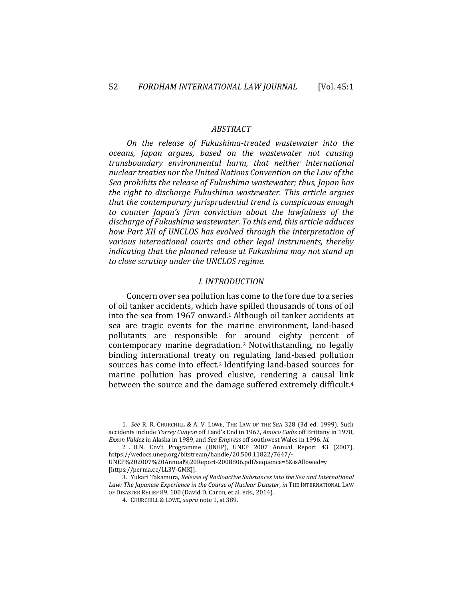#### *ABSTRACT*

*On the release of Fukushima-treated wastewater into the oceans, Japan argues, based on the wastewater not causing transboundary environmental harm, that neither international nuclear treaties nor the United Nations Convention on the Law of the Sea prohibits the release of Fukushima wastewater; thus, Japan has the right to discharge Fukushima wastewater. This article argues that the contemporary jurisprudential trend is conspicuous enough to counter Japan's firm conviction about the lawfulness of the discharge of Fukushima wastewater. To this end, this article adduces how Part XII of UNCLOS has evolved through the interpretation of various international courts and other legal instruments, thereby indicating that the planned release at Fukushima may not stand up to close scrutiny under the UNCLOS regime.* 

#### *I. INTRODUCTION*

Concern over sea pollution has come to the fore due to a series of oil tanker accidents, which have spilled thousands of tons of oil into the sea from 1967 onward.1 Although oil tanker accidents at sea are tragic events for the marine environment, land-based pollutants are responsible for around eighty percent of contemporary marine degradation.2 Notwithstanding, no legally binding international treaty on regulating land-based pollution sources has come into effect.3 Identifying land-based sources for marine pollution has proved elusive, rendering a causal link between the source and the damage suffered extremely difficult.4

<sup>1.</sup> *See* R. R. CHURCHILL & A. V. LOWE, THE LAW OF THE SEA 328 (3d ed. 1999). Such accidents include *Torrey Canyon* off Land's End in 1967, *Amoco Cadiz* off Brittany in 1978, *Exxon Valdez* in Alaska in 1989, and *Sea Empress* off southwest Wales in 1996. *Id.*

<sup>2 .</sup> U.N. Env't Programme (UNEP), UNEP 2007 Annual Report 43 (2007), https://wedocs.unep.org/bitstream/handle/20.500.11822/7647/-

UNEP%202007%20Annual%20Report-2008806.pdf?sequence=5&isAllowed=y [https://perma.cc/LL3V-GMKJ].

<sup>3.</sup> Yukari Takamura, *Release of Radioactive Substances into the Sea and International Law: The Japanese Experience in the Course of Nuclear Disaster*, *in* THE INTERNATIONAL LAW OF DISASTER RELIEF 89, 100 (David D. Caron, et al. eds., 2014).

<sup>4.</sup> CHURCHILL & LOWE, *supra* note 1, at 389.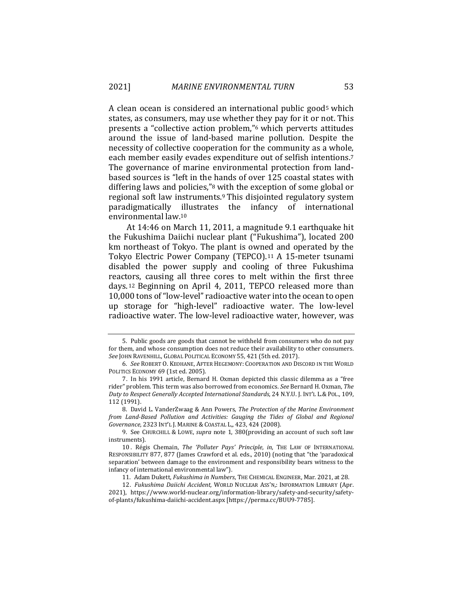A clean ocean is considered an international public good<sup>5</sup> which states, as consumers, may use whether they pay for it or not. This presents a "collective action problem,"6 which perverts attitudes around the issue of land-based marine pollution. Despite the necessity of collective cooperation for the community as a whole, each member easily evades expenditure out of selfish intentions.7 The governance of marine environmental protection from landbased sources is "left in the hands of over 125 coastal states with differing laws and policies,"8 with the exception of some global or regional soft law instruments.9 This disjointed regulatory system paradigmatically illustrates the infancy of international environmental law.10

At 14:46 on March 11, 2011, a magnitude 9.1 earthquake hit the Fukushima Daiichi nuclear plant ("Fukushima"), located 200 km northeast of Tokyo. The plant is owned and operated by the Tokyo Electric Power Company (TEPCO).11 A 15-meter tsunami disabled the power supply and cooling of three Fukushima reactors, causing all three cores to melt within the first three days. 12 Beginning on April 4, 2011, TEPCO released more than 10,000 tons of "low-level" radioactive water into the ocean to open up storage for "high-level" radioactive water. The low-level radioactive water. The low-level radioactive water, however, was

<sup>5.</sup> Public goods are goods that cannot be withheld from consumers who do not pay for them, and whose consumption does not reduce their availability to other consumers. *See* JOHN RAVENHILL, GLOBAL POLITICAL ECONOMY 55, 421 (5th ed. 2017).

<sup>6.</sup> *See* ROBERT O. KEOHANE, AFTER HEGEMONY: COOPERATION AND DISCORD IN THE WORLD POLITICS ECONOMY 69 (1st ed. 2005).

<sup>7.</sup> In his 1991 article, Bernard H. Oxman depicted this classic dilemma as a "free rider" problem. This term was also borrowed from economics. *See* Bernard H. Oxman, *The Duty to Respect Generally Accepted International Standards*, 24 N.Y.U. J. INT'L L.& POL., 109, 112 (1991).

<sup>8.</sup> David L. VanderZwaag & Ann Powers, *The Protection of the Marine Environment from Land-Based Pollution and Activities: Gauging the Tides of Global and Regional Governance*, 2323 INT'L J. MARINE & COASTAL L,, 423, 424 (2008).

<sup>9.</sup> See CHURCHILL & LOWE, *supra* note 1, 380(providing an account of such soft law instruments).

<sup>10 .</sup> Régis Chemain, *The 'Polluter Pays' Principle*, *in*, THE LAW OF INTERNATIONAL RESPONSIBILITY 877, 877 (James Crawford et al. eds., 2010) (noting that "the 'paradoxical separation' between damage to the environment and responsibility bears witness to the infancy of international environmental law").

<sup>11.</sup> Adam Dukett, *Fukushima in Numbers*, THE CHEMICAL ENGINEER, Mar. 2021, at 28.

<sup>12.</sup> *Fukushima Daiichi Accident,* WORLD NUCLEAR ASS'N,: INFORMATION LIBRARY (Apr. 2021), https://www.world-nuclear.org/information-library/safety-and-security/safetyof-plants/fukushima-daiichi-accident.aspx [https://perma.cc/BUU9-7785].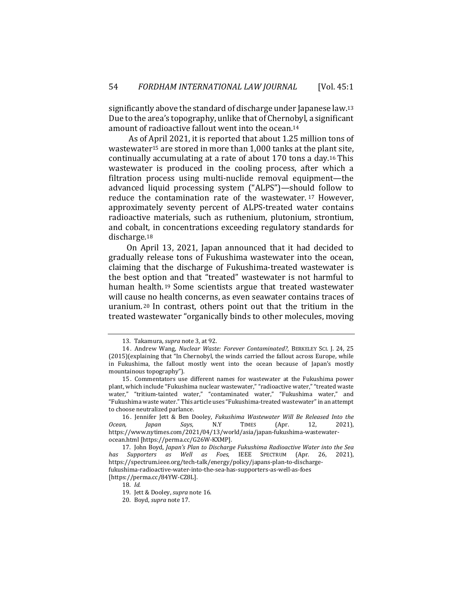significantly above the standard of discharge under Japanese law.<sup>13</sup> Due to the area's topography, unlike that of Chernobyl, a significant amount of radioactive fallout went into the ocean.14

 As of April 2021, it is reported that about 1.25 million tons of wastewater15 are stored in more than 1,000 tanks at the plant site, continually accumulating at a rate of about 170 tons a day.16 This wastewater is produced in the cooling process, after which a filtration process using multi-nuclide removal equipment—the advanced liquid processing system ("ALPS")—should follow to reduce the contamination rate of the wastewater. 17 However, approximately seventy percent of ALPS-treated water contains radioactive materials, such as ruthenium, plutonium, strontium, and cobalt, in concentrations exceeding regulatory standards for discharge.18

On April 13, 2021, Japan announced that it had decided to gradually release tons of Fukushima wastewater into the ocean, claiming that the discharge of Fukushima-treated wastewater is the best option and that "treated" wastewater is not harmful to human health. 19 Some scientists argue that treated wastewater will cause no health concerns, as even seawater contains traces of uranium. 20 In contrast, others point out that the tritium in the treated wastewater "organically binds to other molecules, moving

<sup>13.</sup> Takamura, *supra* note 3, at 92.

<sup>14.</sup> Andrew Wang, *Nuclear Waste: Forever Contaminated?*, BERKELEY SCI. J. 24, 25 (2015)(explaining that "In Chernobyl, the winds carried the fallout across Europe, while in Fukushima, the fallout mostly went into the ocean because of Japan's mostly mountainous topography").

<sup>15.</sup> Commentators use different names for wastewater at the Fukushima power plant, which include "Fukushima nuclear wastewater," "radioactive water," "treated waste water," "tritium-tainted water," "contaminated water," "Fukushima water," and "Fukushima waste water." This article uses "Fukushima-treated wastewater" in an attempt to choose neutralized parlance.

<sup>16.</sup> Jennifer Jett & Ben Dooley, *Fukushima Wastewater Will Be Released Into the Ocean, Japan Says*, N.Y TIMES (Apr. 12, 2021), https://www.nytimes.com/2021/04/13/world/asia/japan-fukushima-wastewaterocean.html [https://perma.cc/G26W-KXMP].

<sup>17.</sup> John Boyd, *Japan's Plan to Discharge Fukushima Radioactive Water into the Sea has Supporters as Well as Foes*, IEEE SPECTRUM (Apr. 26, 2021), https://spectrum.ieee.org/tech-talk/energy/policy/japans-plan-to-dischargefukushima-radioactive-water-into-the-sea-has-supporters-as-well-as-foes [https://perma.cc/84YW-CZ8L].

<sup>18.</sup> *Id.*

<sup>19.</sup> Jett & Dooley, *supra* note 16.

<sup>20.</sup> Boyd, *supra* note 17.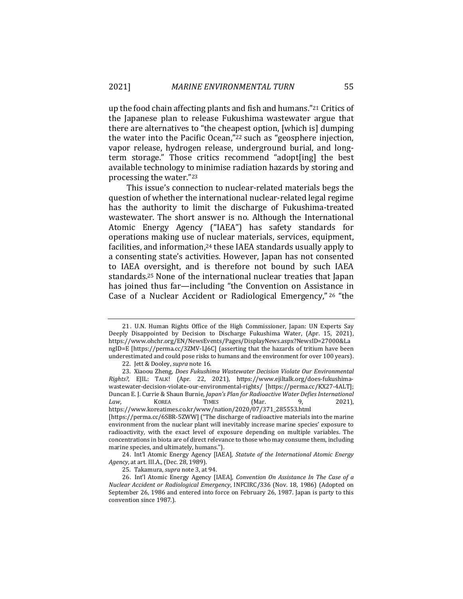up the food chain affecting plants and fish and humans."21 Critics of the Japanese plan to release Fukushima wastewater argue that there are alternatives to "the cheapest option, [which is] dumping the water into the Pacific Ocean,"22 such as "geosphere injection, vapor release, hydrogen release, underground burial, and longterm storage." Those critics recommend "adopt[ing] the best available technology to minimise radiation hazards by storing and processing the water."23

This issue's connection to nuclear-related materials begs the question of whether the international nuclear-related legal regime has the authority to limit the discharge of Fukushima-treated wastewater. The short answer is no. Although the International Atomic Energy Agency ("IAEA") has safety standards for operations making use of nuclear materials, services, equipment, facilities, and information,24 these IAEA standards usually apply to a consenting state's activities. However, Japan has not consented to IAEA oversight, and is therefore not bound by such IAEA standards.25 None of the international nuclear treaties that Japan has joined thus far—including "the Convention on Assistance in Case of a Nuclear Accident or Radiological Emergency," 26 "the

<sup>21 .</sup> U.N. Human Rights Office of the High Commissioner, Japan: UN Experts Say Deeply Disappointed by Decision to Discharge Fukushima Water, (Apr. 15, 2021), https://www.ohchr.org/EN/NewsEvents/Pages/DisplayNews.aspx?NewsID=27000&La ngID=E [https://perma.cc/3ZMV-LJ6C] (asserting that the hazards of tritium have been underestimated and could pose risks to humans and the environment for over 100 years).

<sup>22.</sup> Jett & Dooley, *supra* note 16.

<sup>23.</sup> Xiaoou Zheng, *Does Fukushima Wastewater Decision Violate Our Environmental Rights?*, EJIL: TALK! (Apr. 22, 2021), https://www.ejiltalk.org/does-fukushimawastewater-decision-violate-our-environmental-rights/ [https://perma.cc/KX27-4ALT]; Duncan E. J. Currie & Shaun Burnie, *Japan's Plan for Radioactive Water Defies International Law*, KOREA TIMES (Mar. 9, 2021), https://www.koreatimes.co.kr/www/nation/2020/07/371\_285553.html [https://perma.cc/6SBR-5ZWW] ("The discharge of radioactive materials into the marine

environment from the nuclear plant will inevitably increase marine species' exposure to radioactivity, with the exact level of exposure depending on multiple variables. The concentrations in biota are of direct relevance to those who may consume them, including marine species, and ultimately, humans.").

<sup>24.</sup> Int'l Atomic Energy Agency [IAEA], *Statute of the International Atomic Energy Agency*, at art. III.A., (Dec. 28, 1989).

<sup>25.</sup> Takamura, *supra* note 3, at 94.

<sup>26.</sup> Int'l Atomic Energy Agency [IAEA], *Convention On Assistance In The Case of a Nuclear Accident or Radiological Emergency*, INFCIRC/336 (Nov. 18, 1986) (Adopted on September 26, 1986 and entered into force on February 26, 1987. Japan is party to this convention since 1987.).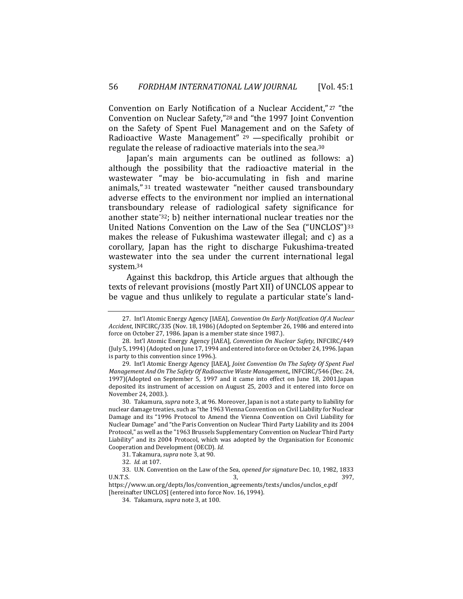Convention on Early Notification of a Nuclear Accident," 27 "the Convention on Nuclear Safety,"28 and "the 1997 Joint Convention on the Safety of Spent Fuel Management and on the Safety of Radioactive Waste Management" <sup>29</sup> —specifically prohibit or regulate the release of radioactive materials into the sea.30

Japan's main arguments can be outlined as follows: a) although the possibility that the radioactive material in the wastewater "may be bio-accumulating in fish and marine animals," 31 treated wastewater "neither caused transboundary adverse effects to the environment nor implied an international transboundary release of radiological safety significance for another state"32; b) neither international nuclear treaties nor the United Nations Convention on the Law of the Sea ("UNCLOS")33 makes the release of Fukushima wastewater illegal; and c) as a corollary, Japan has the right to discharge Fukushima-treated wastewater into the sea under the current international legal system.34

Against this backdrop, this Article argues that although the texts of relevant provisions (mostly Part XII) of UNCLOS appear to be vague and thus unlikely to regulate a particular state's land-

<sup>27.</sup> Int'l Atomic Energy Agency [IAEA], *Convention On Early Notification Of A Nuclear Accident*, INFCIRC/335 (Nov. 18, 1986) (Adopted on September 26, 1986 and entered into force on October 27, 1986. Japan is a member state since 1987.).

<sup>28.</sup> Int'l Atomic Energy Agency [IAEA], *Convention On Nuclear Safety*, INFCIRC/449 (July 5, 1994) (Adopted on June 17, 1994 and entered into force on October 24, 1996. Japan is party to this convention since 1996.).

<sup>29.</sup> Int'l Atomic Energy Agency [IAEA], *Joint Convention On The Safety Of Spent Fuel Management And On The Safety Of Radioactive Waste Management,*, INFCIRC/546 (Dec. 24, 1997)(Adopted on September 5, 1997 and it came into effect on June 18, 2001.Japan deposited its instrument of accession on August 25, 2003 and it entered into force on November 24, 2003.).

<sup>30.</sup> Takamura, *supra* note 3, at 96. Moreover, Japan is not a state party to liability for nuclear damage treaties, such as "the 1963 Vienna Convention on Civil Liability for Nuclear Damage and its "1996 Protocol to Amend the Vienna Convention on Civil Liability for Nuclear Damage" and "the Paris Convention on Nuclear Third Party Liability and its 2004 Protocol," as well as the "1963 Brussels Supplementary Convention on Nuclear Third Party Liability" and its 2004 Protocol, which was adopted by the Organisation for Economic Cooperation and Development (OECD). *Id.*

<sup>31.</sup> Takamura, *supra* note 3, at 90.

<sup>32.</sup> *Id.* at 107.

<sup>33.</sup> U.N. Convention on the Law of the Sea, *opened for signature* Dec. 10, 1982, 1833 U.N.T.S. 3, 397,

https://www.un.org/depts/los/convention\_agreements/texts/unclos/unclos\_e.pdf [hereinafter UNCLOS] (entered into force Nov. 16, 1994).

<sup>34.</sup> Takamura, *supra* note 3, at 100.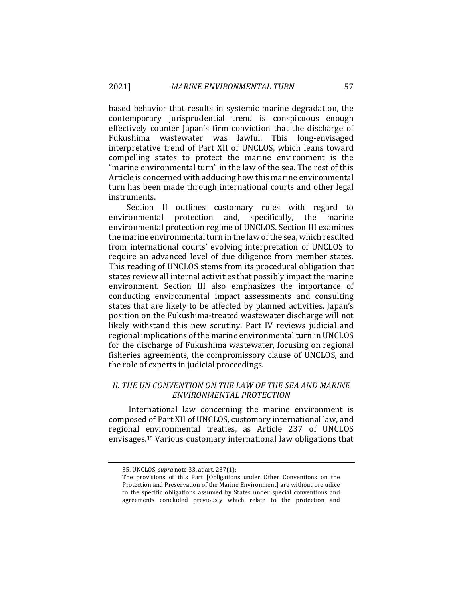based behavior that results in systemic marine degradation, the contemporary jurisprudential trend is conspicuous enough effectively counter Japan's firm conviction that the discharge of Fukushima wastewater was lawful. This long-envisaged interpretative trend of Part XII of UNCLOS, which leans toward compelling states to protect the marine environment is the "marine environmental turn" in the law of the sea. The rest of this Article is concerned with adducing how this marine environmental turn has been made through international courts and other legal instruments.

Section II outlines customary rules with regard to environmental protection and, specifically, the marine environmental protection regime of UNCLOS. Section III examines the marine environmental turn in the law of the sea, which resulted from international courts' evolving interpretation of UNCLOS to require an advanced level of due diligence from member states. This reading of UNCLOS stems from its procedural obligation that states review all internal activities that possibly impact the marine environment. Section III also emphasizes the importance of conducting environmental impact assessments and consulting states that are likely to be affected by planned activities. Japan's position on the Fukushima-treated wastewater discharge will not likely withstand this new scrutiny. Part IV reviews judicial and regional implications of the marine environmental turn in UNCLOS for the discharge of Fukushima wastewater, focusing on regional fisheries agreements, the compromissory clause of UNCLOS, and the role of experts in judicial proceedings.

# *II. THE UN CONVENTION ON THE LAW OF THE SEA AND MARINE ENVIRONMENTAL PROTECTION*

 International law concerning the marine environment is composed of Part XII of UNCLOS, customary international law, and regional environmental treaties, as Article 237 of UNCLOS envisages.35 Various customary international law obligations that

<sup>35.</sup> UNCLOS, *supra* note 33, at art. 237(1):

The provisions of this Part [Obligations under Other Conventions on the Protection and Preservation of the Marine Environment] are without prejudice to the specific obligations assumed by States under special conventions and agreements concluded previously which relate to the protection and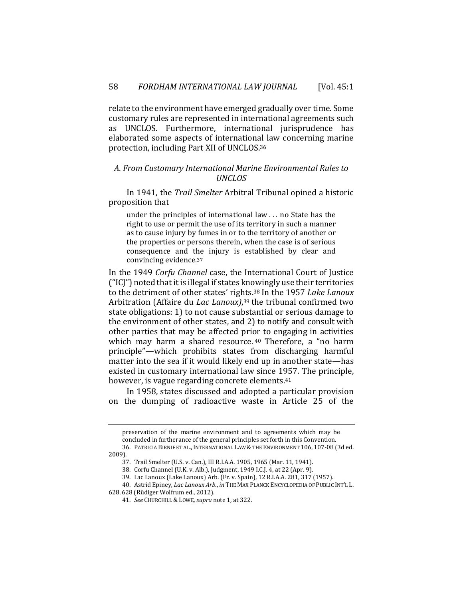relate to the environment have emerged gradually over time. Some customary rules are represented in international agreements such as UNCLOS. Furthermore, international jurisprudence has elaborated some aspects of international law concerning marine protection, including Part XII of UNCLOS.36

# *A. From Customary International Marine Environmental Rules to UNCLOS*

In 1941, the *Trail Smelter* Arbitral Tribunal opined a historic proposition that

under the principles of international law . . . no State has the right to use or permit the use of its territory in such a manner as to cause injury by fumes in or to the territory of another or the properties or persons therein, when the case is of serious consequence and the injury is established by clear and convincing evidence.37

In the 1949 *Corfu Channel* case, the International Court of Justice ("ICJ") noted that it is illegal if states knowingly use their territories to the detriment of other states' rights.38 In the 1957 *Lake Lanoux* Arbitration (Affaire du *Lac Lanoux)*,39 the tribunal confirmed two state obligations: 1) to not cause substantial or serious damage to the environment of other states, and 2) to notify and consult with other parties that may be affected prior to engaging in activities which may harm a shared resource. 40 Therefore, a "no harm principle"—which prohibits states from discharging harmful matter into the sea if it would likely end up in another state—has existed in customary international law since 1957. The principle, however, is vague regarding concrete elements.41

In 1958, states discussed and adopted a particular provision on the dumping of radioactive waste in Article 25 of the

preservation of the marine environment and to agreements which may be concluded in furtherance of the general principles set forth in this Convention.

<sup>36.</sup> PATRICIA BIRNIE ET AL., INTERNATIONAL LAW & THE ENVIRONMENT 106, 107-08 (3d ed. 2009).

<sup>37.</sup> Trail Smelter (U.S. v. Can.), III R.I.A.A. 1905, 1965 (Mar. 11, 1941).

<sup>38.</sup> Corfu Channel (U.K. v. Alb.), Judgment, 1949 I.C.J. 4, at 22 (Apr. 9).

<sup>39.</sup> Lac Lanoux (Lake Lanoux) Arb. (Fr. v. Spain), 12 R.I.A.A. 281, 317 (1957).

<sup>40.</sup> Astrid Epiney*, Lac Lanoux Arb*., *in* THE MAX PLANCK ENCYCLOPEDIA OF PUBLIC INT'L L. 628, 628 (Rüdiger Wolfrum ed., 2012).

<sup>41.</sup> *See* CHURCHILL & LOWE, *supra* note 1, at 322.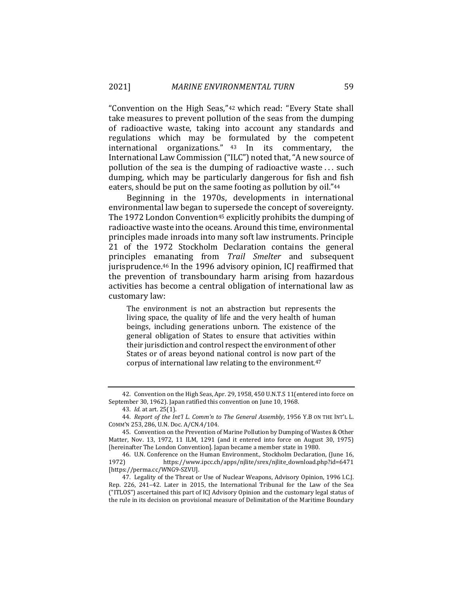"Convention on the High Seas,"42 which read: "Every State shall take measures to prevent pollution of the seas from the dumping of radioactive waste, taking into account any standards and regulations which may be formulated by the competent international organizations." 43 In its commentary, the International Law Commission ("ILC") noted that, "A new source of pollution of the sea is the dumping of radioactive waste . . . such dumping, which may be particularly dangerous for fish and fish eaters, should be put on the same footing as pollution by oil."44

Beginning in the 1970s, developments in international environmental law began to supersede the concept of sovereignty. The 1972 London Convention45 explicitly prohibits the dumping of radioactive waste into the oceans. Around this time, environmental principles made inroads into many soft law instruments. Principle 21 of the 1972 Stockholm Declaration contains the general principles emanating from *Trail Smelter* and subsequent jurisprudence.46 In the 1996 advisory opinion, ICJ reaffirmed that the prevention of transboundary harm arising from hazardous activities has become a central obligation of international law as customary law:

The environment is not an abstraction but represents the living space, the quality of life and the very health of human beings, including generations unborn. The existence of the general obligation of States to ensure that activities within their jurisdiction and control respect the environment of other States or of areas beyond national control is now part of the corpus of international law relating to the environment.47

<sup>42.</sup> Convention on the High Seas, Apr. 29, 1958, 450 U.N.T.S 11(entered into force on September 30, 1962). Japan ratified this convention on June 10, 1968.

<sup>43.</sup> *Id.* at art. 25(1).

<sup>44.</sup> *Report of the Int'l L. Comm'n to The General Assembly*, 1956 Y.B ON THE INT'L L. COMM'N 253, 286, U.N. Doc. A/CN.4/104.

<sup>45.</sup> Convention on the Prevention of Marine Pollution by Dumping of Wastes & Other Matter, Nov. 13, 1972, 11 ILM, 1291 (and it entered into force on August 30, 1975) [hereinafter The London Convention]. Japan became a member state in 1980.

<sup>46.</sup> U.N. Conference on the Human Environment*.,* Stockholm Declaration, (June 16, 1972) https://www.ipcc.ch/apps/njlite/srex/njlite\_download.php?id=6471 [https://perma.cc/WNG9-SZVU].

<sup>47.</sup> Legality of the Threat or Use of Nuclear Weapons, Advisory Opinion, 1996 I.C.J. Rep. 226, 241–42. Later in 2015, the International Tribunal for the Law of the Sea ("ITLOS") ascertained this part of ICJ Advisory Opinion and the customary legal status of the rule in its decision on provisional measure of Delimitation of the Maritime Boundary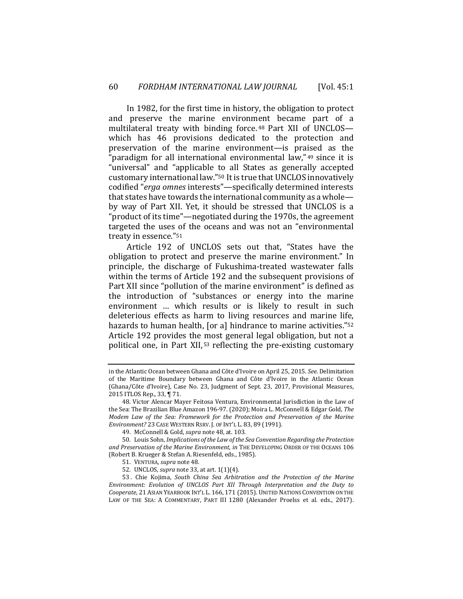In 1982, for the first time in history, the obligation to protect and preserve the marine environment became part of a multilateral treaty with binding force. 48 Part XII of UNCLOS which has 46 provisions dedicated to the protection and preservation of the marine environment—is praised as the "paradigm for all international environmental law,"49 since it is "universal" and "applicable to all States as generally accepted customary international law."50 It is true that UNCLOS innovatively codified "*erga omnes* interests"—specifically determined interests that states have towards the international community as a whole by way of Part XII. Yet, it should be stressed that UNCLOS is a "product of its time"—negotiated during the 1970s, the agreement targeted the uses of the oceans and was not an "environmental treaty in essence."51

Article 192 of UNCLOS sets out that, "States have the obligation to protect and preserve the marine environment." In principle, the discharge of Fukushima-treated wastewater falls within the terms of Article 192 and the subsequent provisions of Part XII since "pollution of the marine environment" is defined as the introduction of "substances or energy into the marine environment … which results or is likely to result in such deleterious effects as harm to living resources and marine life, hazards to human health, [or a] hindrance to marine activities."52 Article 192 provides the most general legal obligation, but not a political one, in Part XII,53 reflecting the pre-existing customary

in the Atlantic Ocean between Ghana and Côte d'Ivoire on April 25, 2015. *See*. Delimitation of the Maritime Boundary between Ghana and Côte d'Ivoire in the Atlantic Ocean (Ghana/Côte d'Ivoire), Case No. 23, Judgment of Sept. 23, 2017, Provisional Measures, 2015 ITLOS Rep., 33, ¶ 71.

<sup>48.</sup> Victor Alencar Mayer Feitosa Ventura, Environmental Jurisdiction in the Law of the Sea: The Brazilian Blue Amazon 196-97. (2020); Moira L. McConnell & Edgar Gold, *The Modem Law of the Sea: Framework for the Protection and Preservation of the Marine Environment?* 23 CASE WESTERN RSRV. J. OF INT'L L. 83, 89 (1991).

<sup>49.</sup> McConnell & Gold, *supra* note 48, at. 103.

<sup>50.</sup> Louis Sohn, *Implications of the Law of the Sea Convention Regarding the Protection and Preservation of the Marine Environment*, *in* THE DEVELOPING ORDER OF THE OCEANS 106 (Robert B. Krueger & Stefan A. Riesenfeld, eds., 1985).

<sup>51.</sup> VENTURA, *supra* note 48.

<sup>52.</sup> UNCLOS, *supra* note 33, at art. 1(1)(4).

<sup>53 .</sup> Chie Kojima, *South China Sea Arbitration and the Protection of the Marine Environment: Evolution of UNCLOS Part XII Through Interpretation and the Duty to Cooperate*, 21 ASIAN YEARBOOK INT'L L. 166, 171 (2015). UNITED NATIONS CONVENTION ON THE LAW OF THE SEA: A COMMENTARY, PART III 1280 (Alexander Proelss et al. eds., 2017).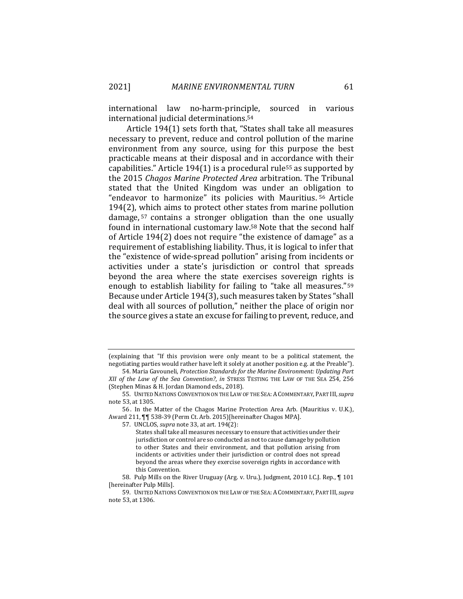international law no-harm-principle, sourced in various international judicial determinations.54

Article 194(1) sets forth that, "States shall take all measures necessary to prevent, reduce and control pollution of the marine environment from any source, using for this purpose the best practicable means at their disposal and in accordance with their capabilities." Article 194(1) is a procedural rule55 as supported by the 2015 *Chagos Marine Protected Area* arbitration. The Tribunal stated that the United Kingdom was under an obligation to "endeavor to harmonize" its policies with Mauritius. 56 Article 194(2), which aims to protect other states from marine pollution damage, 57 contains a stronger obligation than the one usually found in international customary law.58 Note that the second half of Article 194(2) does not require "the existence of damage" as a requirement of establishing liability. Thus, it is logical to infer that the "existence of wide-spread pollution" arising from incidents or activities under a state's jurisdiction or control that spreads beyond the area where the state exercises sovereign rights is enough to establish liability for failing to "take all measures."59 Because under Article 194(3), such measures taken by States "shall deal with all sources of pollution," neither the place of origin nor the source gives a state an excuse for failing to prevent, reduce, and

<sup>(</sup>explaining that "If this provision were only meant to be a political statement, the negotiating parties would rather have left it solely at another position e.g. at the Preable").

<sup>54.</sup> Maria Gavouneli, *Protection Standards for the Marine Environment: Updating Part XII of the Law of the Sea Convention?*, *in* STRESS TESTING THE LAW OF THE SEA 254, 256 (Stephen Minas & H. Jordan Diamond eds., 2018).

<sup>55.</sup> UNITED NATIONS CONVENTION ON THE LAW OF THE SEA: A COMMENTARY, PART III,*supra* note 53, at 1305.

<sup>56.</sup> In the Matter of the Chagos Marine Protection Area Arb. (Mauritius v. U.K.), Award 211, ¶¶ 538-39 (Perm Ct. Arb. 2015)[hereinafter Chagos MPA].

<sup>57.</sup> UNCLOS, *supra* note 33, at art. 194(2):

States shall take all measures necessary to ensure that activities under their jurisdiction or control are so conducted as not to cause damage by pollution to other States and their environment, and that pollution arising from incidents or activities under their jurisdiction or control does not spread beyond the areas where they exercise sovereign rights in accordance with this Convention.

<sup>58.</sup> Pulp Mills on the River Uruguay (Arg. v. Uru.), Judgment, 2010 I.C.J. Rep., ¶ 101 [hereinafter Pulp Mills].

<sup>59.</sup> UNITED NATIONS CONVENTION ON THE LAW OF THE SEA: A COMMENTARY, PART III,*supra* note 53, at 1306.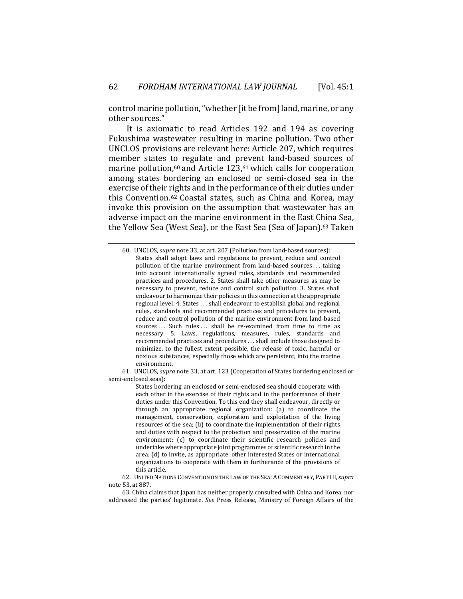control marine pollution, "whether [it be from] land, marine, or any other sources."

It is axiomatic to read Articles 192 and 194 as covering Fukushima wastewater resulting in marine pollution. Two other UNCLOS provisions are relevant here: Article 207, which requires member states to regulate and prevent land-based sources of marine pollution,<sup>60</sup> and Article 123,<sup>61</sup> which calls for cooperation among states bordering an enclosed or semi-closed sea in the exercise of their rights and in the performance of their duties under this Convention.62 Coastal states, such as China and Korea, may invoke this provision on the assumption that wastewater has an adverse impact on the marine environment in the East China Sea, the Yellow Sea (West Sea), or the East Sea (Sea of Japan).63 Taken

61. UNCLOS, *supra* note 33, at art. 123 (Cooperation of States bordering enclosed or semi-enclosed seas):

> States bordering an enclosed or semi-enclosed sea should cooperate with each other in the exercise of their rights and in the performance of their duties under this Convention. To this end they shall endeavour, directly or through an appropriate regional organization: (a) to coordinate the management, conservation, exploration and exploitation of the living resources of the sea; (b) to coordinate the implementation of their rights and duties with respect to the protection and preservation of the marine environment; (c) to coordinate their scientific research policies and undertake where appropriate joint programmes of scientific research in the area; (d) to invite, as appropriate, other interested States or international organizations to cooperate with them in furtherance of the provisions of this article.

62. UNITED NATIONS CONVENTION ON THE LAW OF THE SEA: A COMMENTARY, PART III,*supra* note 53, at 887.

63. China claims that Japan has neither properly consulted with China and Korea, nor addressed the parties' legitimate. *See* Press Release, Ministry of Foreign Affairs of the

<sup>60.</sup> UNCLOS, *supra* note 33, at art. 207 (Pollution from land-based sources): States shall adopt laws and regulations to prevent, reduce and control pollution of the marine environment from land-based sources . . . taking into account internationally agreed rules, standards and recommended practices and procedures. 2. States shall take other measures as may be necessary to prevent, reduce and control such pollution. 3. States shall endeavour to harmonize their policies in this connection at the appropriate regional level. 4. States . . . shall endeavour to establish global and regional rules, standards and recommended practices and procedures to prevent, reduce and control pollution of the marine environment from land-based sources ... Such rules ... shall be re-examined from time to time as necessary. 5. Laws, regulations, measures, rules, standards and recommended practices and procedures . . . shall include those designed to minimize, to the fullest extent possible, the release of toxic, harmful or noxious substances, especially those which are persistent, into the marine environment.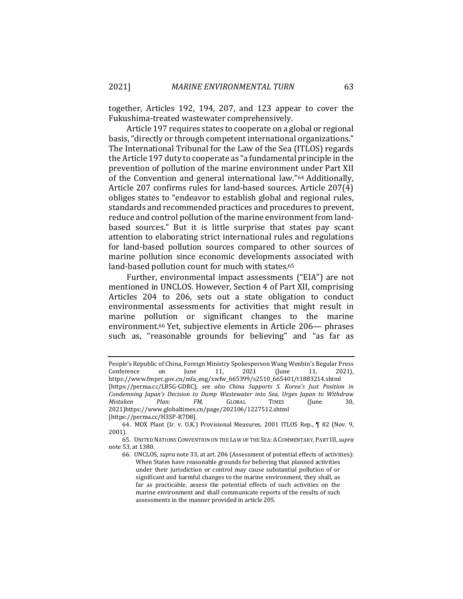together, Articles 192, 194, 207, and 123 appear to cover the Fukushima-treated wastewater comprehensively.

Article 197 requires states to cooperate on a global or regional basis, "directly or through competent international organizations." The International Tribunal for the Law of the Sea (ITLOS) regards the Article 197 duty to cooperate as "a fundamental principle in the prevention of pollution of the marine environment under Part XII of the Convention and general international law."64 Additionally, Article 207 confirms rules for land-based sources. Article 207(4) obliges states to "endeavor to establish global and regional rules, standards and recommended practices and procedures to prevent, reduce and control pollution of the marine environment from landbased sources." But it is little surprise that states pay scant attention to elaborating strict international rules and regulations for land-based pollution sources compared to other sources of marine pollution since economic developments associated with land-based pollution count for much with states.65

Further, environmental impact assessments ("EIA") are not mentioned in UNCLOS. However, Section 4 of Part XII, comprising Articles 204 to 206, sets out a state obligation to conduct environmental assessments for activities that might result in marine pollution or significant changes to the marine environment.66 Yet, subjective elements in Article 206— phrases such as, "reasonable grounds for believing" and "as far as

People's Republic of China, Foreign Ministry Spokesperson Wang Wenbin's Regular Press Conference on June 11, 2021 (June 11, 2021), https://www.fmprc.gov.cn/mfa\_eng/xwfw\_665399/s2510\_665401/t1883214.shtml [https://perma.cc/LB5G-GDRC]; *see also China Supports S. Korea's Just Position in Condemning Japan's Decision to Dump Wastewater into Sea, Urges Japan to Withdraw Mistaken Plan: FM*, GLOBAL TIMES (June 30, 2021)https://www.globaltimes.cn/page/202106/1227512.shtml [https://perma.cc/H3SP-R7D8].

<sup>64.</sup> MOX Plant (Ir. v. U.K.) Provisional Measures, 2001 ITLOS Rep., ¶ 82 (Nov. 9, 2001).

<sup>65.</sup> UNITED NATIONS CONVENTION ON THE LAW OF THE SEA: A COMMENTARY, PART III,*supra* note 53, at 1380.

<sup>66.</sup> UNCLOS, *supra* note 33, at art. 206 (Assessment of potential effects of activities): When States have reasonable grounds for believing that planned activities under their jurisdiction or control may cause substantial pollution of or significant and harmful changes to the marine environment, they shall, as far as practicable, assess the potential effects of such activities on the marine environment and shall communicate reports of the results of such assessments in the manner provided in article 205.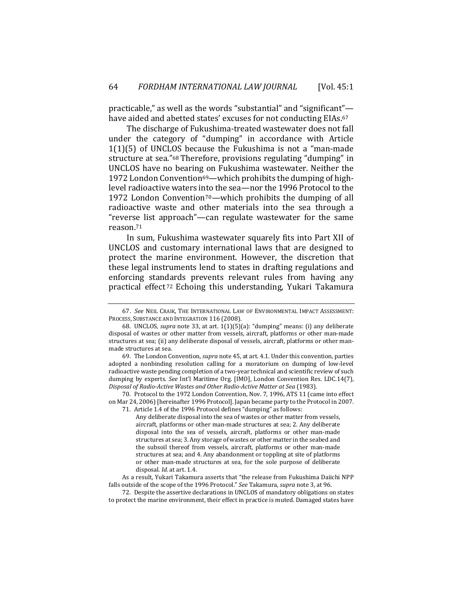practicable," as well as the words "substantial" and "significant" have aided and abetted states' excuses for not conducting EIAs.<sup>67</sup>

The discharge of Fukushima-treated wastewater does not fall under the category of "dumping" in accordance with Article 1(1)(5) of UNCLOS because the Fukushima is not a "man-made structure at sea."68 Therefore, provisions regulating "dumping" in UNCLOS have no bearing on Fukushima wastewater. Neither the 1972 London Convention<sup>69</sup>—which prohibits the dumping of highlevel radioactive waters into the sea—nor the 1996 Protocol to the 1972 London Convention<sup>70</sup>—which prohibits the dumping of all radioactive waste and other materials into the sea through a "reverse list approach"—can regulate wastewater for the same reason.71

In sum, Fukushima wastewater squarely fits into Part XII of UNCLOS and customary international laws that are designed to protect the marine environment. However, the discretion that these legal instruments lend to states in drafting regulations and enforcing standards prevents relevant rules from having any practical effect 72 Echoing this understanding, Yukari Takamura

69. The London Convention, *supra* note 45, at art. 4.1. Under this convention, parties adopted a nonbinding resolution calling for a moratorium on dumping of low-level radioactive waste pending completion of a two-year technical and scientific review of such dumping by experts. *See* Int'l Maritime Org. [IMO], London Convention Res. LDC.14(7), *Disposal of Radio-Active Wastes and Other Radio-Active Matter at Sea* (1983).

70. Protocol to the 1972 London Convention, Nov. 7, 1996, ATS 11 (came into effect on Mar 24, 2006) [hereinafter 1996 Protocol]. Japan became party to the Protocol in 2007. 71. Article 1.4 of the 1996 Protocol defines "dumping" as follows:

As a result, Yukari Takamura asserts that "the release from Fukushima Daiichi NPP falls outside of the scope of the 1996 Protocol." *See* Takamura, *supra* note 3, at 96.

72. Despite the assertive declarations in UNCLOS of mandatory obligations on states to protect the marine environment, their effect in practice is muted. Damaged states have

<sup>67.</sup> *See* NEIL CRAIK, THE INTERNATIONAL LAW OF ENVIRONMENTAL IMPACT ASSESSMENT: PROCESS, SUBSTANCE AND INTEGRATION 116 (2008).

<sup>68.</sup> UNCLOS, *supra* note 33, at art. 1(1)(5)(a): "dumping" means: (i) any deliberate disposal of wastes or other matter from vessels, aircraft, platforms or other man-made structures at sea; (ii) any deliberate disposal of vessels, aircraft, platforms or other manmade structures at sea.

Any deliberate disposal into the sea of wastes or other matter from vessels, aircraft, platforms or other man-made structures at sea; 2. Any deliberate disposal into the sea of vessels, aircraft, platforms or other man-made structures at sea; 3. Any storage of wastes or other matter in the seabed and the subsoil thereof from vessels, aircraft, platforms or other man-made structures at sea; and 4. Any abandonment or toppling at site of platforms or other man-made structures at sea, for the sole purpose of deliberate disposal. *Id.* at art. 1.4.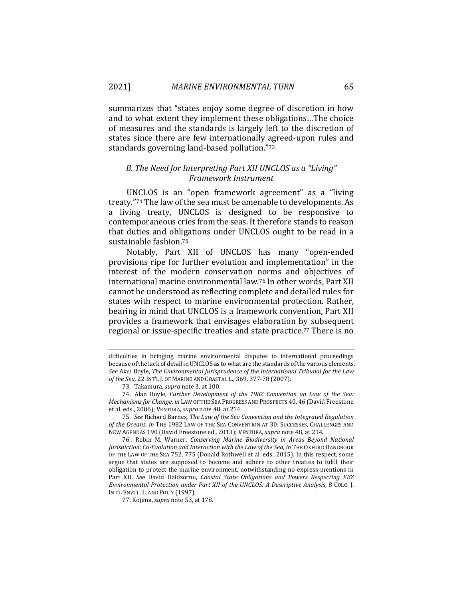summarizes that "states enjoy some degree of discretion in how and to what extent they implement these obligations…The choice of measures and the standards is largely left to the discretion of states since there are few internationally agreed-upon rules and standards governing land-based pollution."73

# *B. The Need for Interpreting Part XII UNCLOS as a "Living" Framework Instrument*

UNCLOS is an "open framework agreement" as a "living treaty."74 The law of the sea must be amenable to developments. As a living treaty, UNCLOS is designed to be responsive to contemporaneous cries from the seas. It therefore stands to reason that duties and obligations under UNCLOS ought to be read in a sustainable fashion.75

Notably, Part XII of UNCLOS has many "open-ended provisions ripe for further evolution and implementation" in the interest of the modern conservation norms and objectives of international marine environmental law.76 In other words, Part XII cannot be understood as reflecting complete and detailed rules for states with respect to marine environmental protection. Rather, bearing in mind that UNCLOS is a framework convention, Part XII provides a framework that envisages elaboration by subsequent regional or issue-specific treaties and state practice.77 There is no

75. *See* Richard Barnes, *The Law of the Sea Convention and the Integrated Regulation of the Oceans*, *in* THE 1982 LAW OF THE SEA CONVENTION AT 30: SUCCESSES, CHALLENGES AND NEW AGENDAS 190 (David Freestone ed., 2013); VENTURA, *supra* note 48, at 214.

76 . Robin M. Warner, *Conserving Marine Biodiversity in Areas Beyond National Jurisdiction: Co-Evolution and Interaction with the Law of the Sea*, *in* THE OXFORD HANDBOOK OF THE LAW OF THE SEA 752, 775 (Donald Rothwell et al. eds., 2015). In this respect, some argue that states are supposed to become and adhere to other treaties to fulfil their obligation to protect the marine environment, notwithstanding no express mentions in Part XII. *See* David Dzidzornu, *Coastal State Obligations and Powers Respecting EEZ Environmental Protection under Part XII of the UNCLOS: A Descriptive Analysis*, 8 COLO. J. INT'L ENVTL. L. AND POL'Y (1997).

difficulties in bringing marine environmental disputes to international proceedings because of the lack of detail in UNCLOS as to what are the standards of the various elements. *See* Alan Boyle, *The Environmental Jurisprudence of the International Tribunal for the Law of the Sea*, 22 INT'L J. OF MARINE AND COASTAL L., 369, 377-78 (2007).

<sup>73.</sup> Takamura, *supra* note 3, at 100.

<sup>74 .</sup> Alan Boyle, *Further Development of the 1982 Convention on Law of the Sea: Mechanisms for Change*, *in* LAW OF THE SEA PROGRESS AND PROSPECTS 40, 46 (David Freestone et al. eds., 2006); VENTURA, *supra* note 48, at 214.

<sup>77.</sup> Kojima, *supra* note 53, at 178.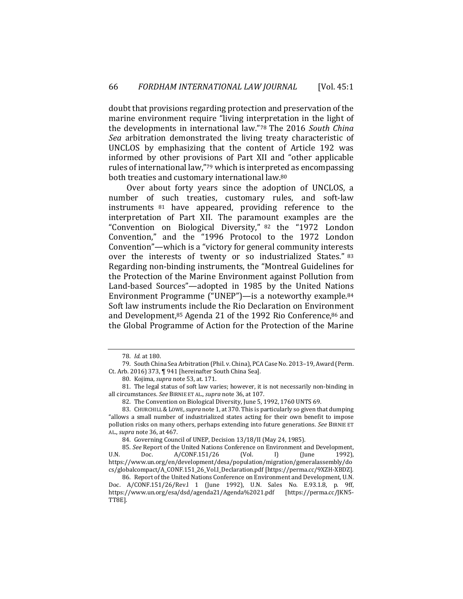doubt that provisions regarding protection and preservation of the marine environment require "living interpretation in the light of the developments in international law."78 The 2016 *South China Sea* arbitration demonstrated the living treaty characteristic of UNCLOS by emphasizing that the content of Article 192 was informed by other provisions of Part XII and "other applicable rules of international law,"79 which is interpreted as encompassing both treaties and customary international law.80

Over about forty years since the adoption of UNCLOS, a number of such treaties, customary rules, and soft-law instruments 81 have appeared, providing reference to the interpretation of Part XII. The paramount examples are the "Convention on Biological Diversity," 82 the "1972 London Convention," and the "1996 Protocol to the 1972 London Convention"—which is a "victory for general community interests over the interests of twenty or so industrialized States." <sup>83</sup> Regarding non-binding instruments, the "Montreal Guidelines for the Protection of the Marine Environment against Pollution from Land-based Sources"—adopted in 1985 by the United Nations Environment Programme ("UNEP")—is a noteworthy example.84 Soft law instruments include the Rio Declaration on Environment and Development,85 Agenda 21 of the 1992 Rio Conference,86 and the Global Programme of Action for the Protection of the Marine

<sup>78.</sup> *Id.* at 180.

<sup>79.</sup> South China Sea Arbitration (Phil. v. China), PCA Case No. 2013–19, Award (Perm. Ct. Arb. 2016) 373, ¶ 941 [hereinafter South China Sea].

<sup>80.</sup> Kojima, *supra* note 53, at. 171.

<sup>81.</sup> The legal status of soft law varies; however, it is not necessarily non-binding in all circumstances. *See* BIRNIE ET AL., *supra* note 36, at 107.

<sup>82.</sup> The Convention on Biological Diversity, June 5, 1992, 1760 UNTS 69.

<sup>83.</sup> CHURCHILL &LOWE, *supra* note 1, at 370. This is particularly so given that dumping "allows a small number of industrialized states acting for their own benefit to impose pollution risks on many others, perhaps extending into future generations. *See* BIRNIE ET AL., *supra* note 36, at 467.

<sup>84.</sup> Governing Council of UNEP, Decision 13/18/II (May 24, 1985).

<sup>85.</sup> *See* Report of the United Nations Conference on Environment and Development, U.N. Doc. A/CONF.151/26 (Vol. I) (June 1992), https://www.un.org/en/development/desa/population/migration/generalassembly/do cs/globalcompact/A\_CONF.151\_26\_Vol.I\_Declaration.pdf [https://perma.cc/9XZH-XBDZ].

<sup>86.</sup> Report of the United Nations Conference on Environment and Development, U.N. Doc. A/CONF.151/26/Rev.l 1 (June 1992), U.N. Sales No. E.93.1.8, p. 9ff, https://www.un.org/esa/dsd/agenda21/Agenda%2021.pdf [https://perma.cc/JKN5- TT8E].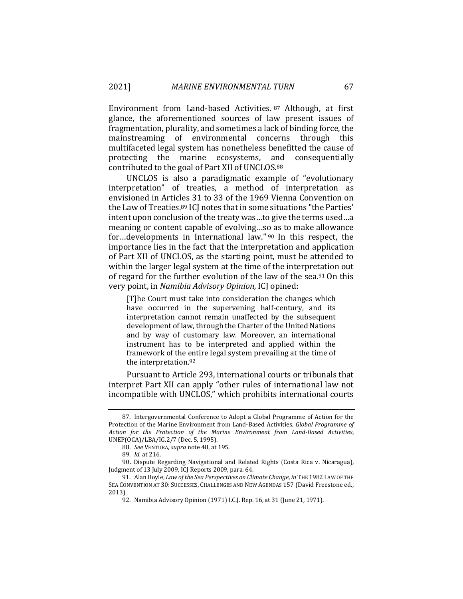Environment from Land-based Activities. 87 Although, at first glance, the aforementioned sources of law present issues of fragmentation, plurality, and sometimes a lack of binding force, the mainstreaming of environmental concerns through this multifaceted legal system has nonetheless benefitted the cause of protecting the marine ecosystems, and consequentially contributed to the goal of Part XII of UNCLOS.88

UNCLOS is also a paradigmatic example of "evolutionary interpretation" of treaties, a method of interpretation as envisioned in Articles 31 to 33 of the 1969 Vienna Convention on the Law of Treaties.89 ICJ notes that in some situations "the Parties' intent upon conclusion of the treaty was…to give the terms used…a meaning or content capable of evolving…so as to make allowance for…developments in International law." 90 In this respect, the importance lies in the fact that the interpretation and application of Part XII of UNCLOS, as the starting point, must be attended to within the larger legal system at the time of the interpretation out of regard for the further evolution of the law of the sea.91 On this very point, in *Namibia Advisory Opinion,* ICJ opined:

[T]he Court must take into consideration the changes which have occurred in the supervening half-century, and its interpretation cannot remain unaffected by the subsequent development of law, through the Charter of the United Nations and by way of customary law. Moreover, an international instrument has to be interpreted and applied within the framework of the entire legal system prevailing at the time of the interpretation.92

Pursuant to Article 293, international courts or tribunals that interpret Part XII can apply "other rules of international law not incompatible with UNCLOS," which prohibits international courts

<sup>87.</sup> Intergovernmental Conference to Adopt a Global Programme of Action for the Protection of the Marine Environment from Land-Based Activities, *Global Programme of Action for the Protection of the Marine Environment from Land-Based Activities*, UNEP(OCA)/LBA/IG.2/7 (Dec. 5, 1995).

<sup>88.</sup> *See* VENTURA, *supra* note 48, at 195.

<sup>89.</sup> *Id.* at 216.

<sup>90.</sup> Dispute Regarding Navigational and Related Rights (Costa Rica v. Nicaragua), Judgment of 13 July 2009, ICJ Reports 2009, para. 64.

<sup>91.</sup> Alan Boyle, *Law of the Sea Perspectives on Climate Change*, *in* THE 1982 LAW OF THE SEA CONVENTION AT 30: SUCCESSES, CHALLENGES AND NEW AGENDAS 157 (David Freestone ed., 2013).

<sup>92.</sup> Namibia Advisory Opinion (1971) I.C.J. Rep. 16, at 31 (June 21, 1971).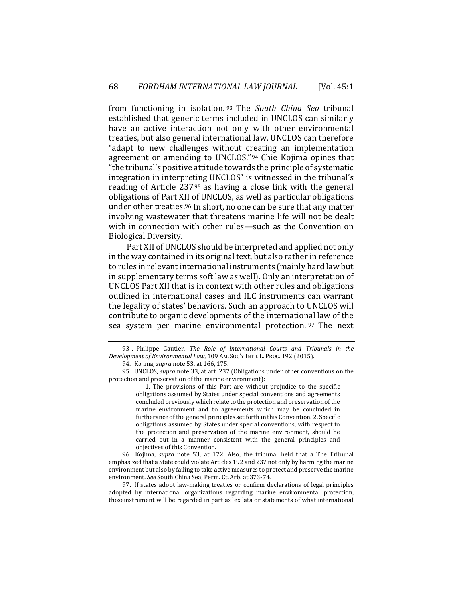from functioning in isolation. 93 The *South China Sea* tribunal established that generic terms included in UNCLOS can similarly have an active interaction not only with other environmental treaties, but also general international law. UNCLOS can therefore "adapt to new challenges without creating an implementation agreement or amending to UNCLOS." 94 Chie Kojima opines that "the tribunal's positive attitude towards the principle of systematic integration in interpreting UNCLOS" is witnessed in the tribunal's reading of Article 23795 as having a close link with the general obligations of Part XII of UNCLOS, as well as particular obligations under other treaties.96 In short, no one can be sure that any matter involving wastewater that threatens marine life will not be dealt with in connection with other rules—such as the Convention on Biological Diversity.

Part XII of UNCLOS should be interpreted and applied not only in the way contained in its original text, but also rather in reference to rules in relevant international instruments (mainly hard law but in supplementary terms soft law as well). Only an interpretation of UNCLOS Part XII that is in context with other rules and obligations outlined in international cases and ILC instruments can warrant the legality of states' behaviors. Such an approach to UNCLOS will contribute to organic developments of the international law of the sea system per marine environmental protection. 97 The next

 1. The provisions of this Part are without prejudice to the specific obligations assumed by States under special conventions and agreements concluded previously which relate to the protection and preservation of the marine environment and to agreements which may be concluded in furtherance of the general principles set forth in this Convention. 2. Specific obligations assumed by States under special conventions, with respect to the protection and preservation of the marine environment, should be carried out in a manner consistent with the general principles and objectives of this Convention.

96 . Kojima, *supra* note 53, at 172. Also, the tribunal held that a The Tribunal emphasized that a State could violate Articles 192 and 237 not only by harming the marine environment but also by failing to take active measures to protect and preserve the marine environment. *See* South China Sea, Perm. Ct. Arb. at 373-74.

97. If states adopt law-making treaties or confirm declarations of legal principles adopted by international organizations regarding marine environmental protection, thoseinstrument will be regarded in part as lex lata or statements of what international

<sup>93 .</sup> Philippe Gautier, *The Role of International Courts and Tribunals in the Development of Environmental Law*, 109 AM. SOC'Y INT'L L. PROC. 192 (2015).

<sup>94.</sup> Kojima, *supra* note 53, at 166, 175.

<sup>95.</sup> UNCLOS, *supra* note 33, at art. 237 (Obligations under other conventions on the protection and preservation of the marine environment):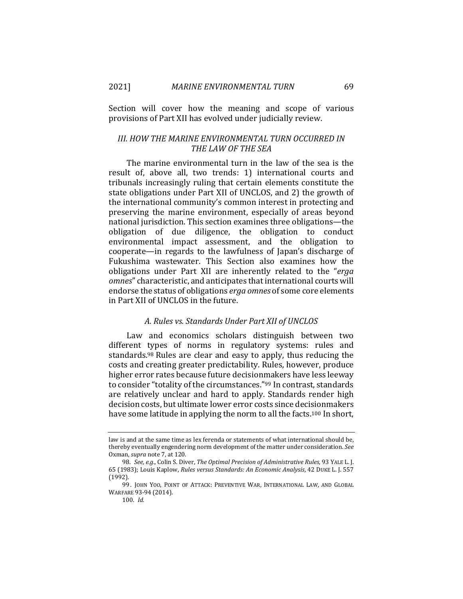Section will cover how the meaning and scope of various provisions of Part XII has evolved under judicially review.

# *III. HOW THE MARINE ENVIRONMENTAL TURN OCCURRED IN THE LAW OF THE SEA*

The marine environmental turn in the law of the sea is the result of, above all, two trends: 1) international courts and tribunals increasingly ruling that certain elements constitute the state obligations under Part XII of UNCLOS, and 2) the growth of the international community's common interest in protecting and preserving the marine environment, especially of areas beyond national jurisdiction. This section examines three obligations—the obligation of due diligence, the obligation to conduct environmental impact assessment, and the obligation to cooperate—in regards to the lawfulness of Japan's discharge of Fukushima wastewater. This Section also examines how the obligations under Part XII are inherently related to the "*erga omnes*" characteristic, and anticipates that international courts will endorse the status of obligations *erga omnes* of some core elements in Part XII of UNCLOS in the future.

#### *A. Rules vs. Standards Under Part XII of UNCLOS*

Law and economics scholars distinguish between two different types of norms in regulatory systems: rules and standards.98 Rules are clear and easy to apply, thus reducing the costs and creating greater predictability. Rules, however, produce higher error rates because future decisionmakers have less leeway to consider "totality of the circumstances."99 In contrast, standards are relatively unclear and hard to apply. Standards render high decision costs, but ultimate lower error costs since decisionmakers have some latitude in applying the norm to all the facts.<sup>100</sup> In short,

law is and at the same time as lex ferenda or statements of what international should be, thereby eventually engendering norm development of the matter under consideration. *See* Oxman, *supra* note 7, at 120.

<sup>98.</sup> *See, e.g*., Colin S. Diver, *The Optimal Precision of Administrative Rules*, 93 YALE L. J. 65 (1983); Louis Kaplow, *Rules versus Standards: An Economic Analysis*, 42 DUKE L. J. 557 (1992).

<sup>99.</sup> JOHN YOO, POINT OF ATTACK: PREVENTIVE WAR, INTERNATIONAL LAW, AND GLOBAL WARFARE 93-94 (2014).

<sup>100.</sup> *Id.*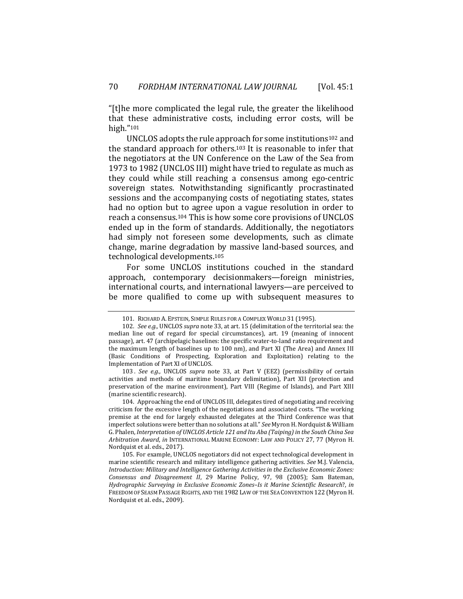"[t]he more complicated the legal rule, the greater the likelihood that these administrative costs, including error costs, will be high."101

UNCLOS adopts the rule approach for some institutions102 and the standard approach for others.103 It is reasonable to infer that the negotiators at the UN Conference on the Law of the Sea from 1973 to 1982 (UNCLOS III) might have tried to regulate as much as they could while still reaching a consensus among ego-centric sovereign states. Notwithstanding significantly procrastinated sessions and the accompanying costs of negotiating states, states had no option but to agree upon a vague resolution in order to reach a consensus.104 This is how some core provisions of UNCLOS ended up in the form of standards. Additionally, the negotiators had simply not foreseen some developments, such as climate change, marine degradation by massive land-based sources, and technological developments.105

For some UNCLOS institutions couched in the standard approach, contemporary decisionmakers—foreign ministries, international courts, and international lawyers—are perceived to be more qualified to come up with subsequent measures to

103 . *See e.g.,* UNCLOS *supra* note 33, at Part V (EEZ) (permissibility of certain activities and methods of maritime boundary delimitation), Part XII (protection and preservation of the marine environment), Part VIII (Regime of Islands), and Part XIII (marine scientific research).

104. Approaching the end of UNCLOS III, delegates tired of negotiating and receiving criticism for the excessive length of the negotiations and associated costs. "The working premise at the end for largely exhausted delegates at the Third Conference was that imperfect solutions were better than no solutions at all." *See* Myron H. Nordquist & William G. Phalen, *Interpretation of UNCLOS Article 121 and Itu Aba (Taiping) in the South China Sea Arbitration Award*, *in* INTERNATIONAL MARINE ECONOMY: LAW AND POLICY 27, 77 (Myron H. Nordquist et al. eds., 2017).

<sup>101.</sup> RICHARD A. EPSTEIN, SIMPLE RULES FOR A COMPLEX WORLD 31 (1995).

<sup>102.</sup> *See e.g.,* UNCLOS *supra* note 33, at art. 15 (delimitation of the territorial sea: the median line out of regard for special circumstances), art. 19 (meaning of innocent passage), art. 47 (archipelagic baselines: the specific water-to-land ratio requirement and the maximum length of baselines up to 100 nm), and Part XI (The Area) and Annex III (Basic Conditions of Prospecting, Exploration and Exploitation) relating to the Implementation of Part XI of UNCLOS.

<sup>105.</sup> For example, UNCLOS negotiators did not expect technological development in marine scientific research and military intelligence gathering activities. *See* M.J. Valencia, *Introduction: Military and Intelligence Gathering Activities in the Exclusive Economic Zones: Consensus and Disagreement II*, 29 Marine Policy, 97, 98 (2005); Sam Bateman, *Hydrographic Surveying in Exclusive Economic Zones–Is it Marine Scientific Research*?, *in*  FREEDOM OF SEASM PASSAGE RIGHTS, AND THE 1982 LAW OF THE SEA CONVENTION 122 (Myron H. Nordquist et al. eds., 2009).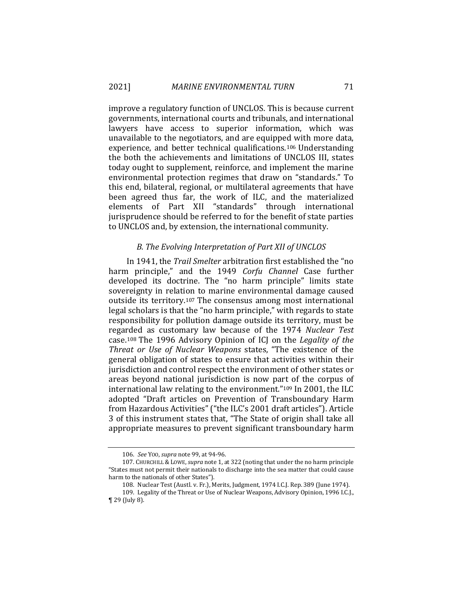improve a regulatory function of UNCLOS. This is because current governments, international courts and tribunals, and international lawyers have access to superior information, which was unavailable to the negotiators, and are equipped with more data, experience, and better technical qualifications.106 Understanding the both the achievements and limitations of UNCLOS III, states today ought to supplement, reinforce, and implement the marine environmental protection regimes that draw on "standards." To this end, bilateral, regional, or multilateral agreements that have been agreed thus far, the work of ILC, and the materialized elements of Part XII "standards" through international jurisprudence should be referred to for the benefit of state parties to UNCLOS and, by extension, the international community.

#### *B. The Evolving Interpretation of Part XII of UNCLOS*

In 1941, the *Trail Smelter* arbitration first established the "no harm principle," and the 1949 *Corfu Channel* Case further developed its doctrine. The "no harm principle" limits state sovereignty in relation to marine environmental damage caused outside its territory.107 The consensus among most international legal scholars is that the "no harm principle," with regards to state responsibility for pollution damage outside its territory, must be regarded as customary law because of the 1974 *Nuclear Test* case.108 The 1996 Advisory Opinion of ICJ on the *Legality of the Threat or Use of Nuclear Weapons* states, "The existence of the general obligation of states to ensure that activities within their jurisdiction and control respect the environment of other states or areas beyond national jurisdiction is now part of the corpus of international law relating to the environment."109 In 2001, the ILC adopted "Draft articles on Prevention of Transboundary Harm from Hazardous Activities" ("the ILC's 2001 draft articles"). Article 3 of this instrument states that, "The State of origin shall take all appropriate measures to prevent significant transboundary harm

<sup>106.</sup> *See* YOO, *supra* note 99, at 94-96.

<sup>107.</sup> CHURCHILL &LOWE, *supra* note 1, at 322 (noting that under the no harm principle "States must not permit their nationals to discharge into the sea matter that could cause harm to the nationals of other States").

<sup>108.</sup> Nuclear Test (Austl. v. Fr.), Merits, Judgment, 1974 I.C.J. Rep. 389 (June 1974).

<sup>109.</sup> Legality of the Threat or Use of Nuclear Weapons, Advisory Opinion, 1996 I.C.J., ¶ 29 (July 8).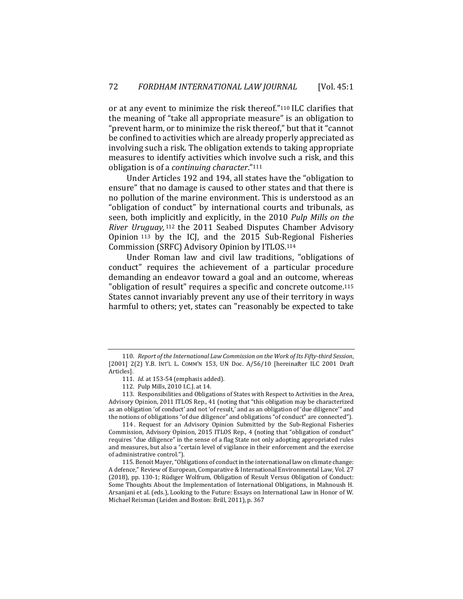or at any event to minimize the risk thereof."110 ILC clarifies that the meaning of "take all appropriate measure" is an obligation to "prevent harm, or to minimize the risk thereof," but that it "cannot be confined to activities which are already properly appreciated as involving such a risk. The obligation extends to taking appropriate measures to identify activities which involve such a risk, and this obligation is of a *continuing character*."111

Under Articles 192 and 194, all states have the "obligation to ensure" that no damage is caused to other states and that there is no pollution of the marine environment. This is understood as an "obligation of conduct" by international courts and tribunals, as seen, both implicitly and explicitly, in the 2010 *Pulp Mills on the River Uruguay,* 112 the 2011 Seabed Disputes Chamber Advisory Opinion 113 by the ICJ, and the 2015 Sub-Regional Fisheries Commission (SRFC) Advisory Opinion by ITLOS.114

Under Roman law and civil law traditions, "obligations of conduct" requires the achievement of a particular procedure demanding an endeavor toward a goal and an outcome, whereas "obligation of result" requires a specific and concrete outcome.115 States cannot invariably prevent any use of their territory in ways harmful to others; yet, states can "reasonably be expected to take

114 . Request for an Advisory Opinion Submitted by the Sub-Regional Fisheries Commission, Advisory Opinion, 2015 ITLOS Rep., 4 (noting that "obligation of conduct" requires "due diligence" in the sense of a flag State not only adopting appropriated rules and measures, but also a "certain level of vigilance in their enforcement and the exercise of administrative control.").

<sup>110.</sup> *Report of the International Law Commission on the Work of Its Fifty-third Session*, [2001] 2(2) Y.B. INT'L L. COMM'N 153, UN Doc. A/56/10 [hereinafter ILC 2001 Draft Articles].

<sup>111.</sup> *Id.* at 153-54 (emphasis added).

<sup>112.</sup> Pulp Mills, 2010 I.C.J. at 14.

<sup>113.</sup> Responsibilities and Obligations of States with Respect to Activities in the Area, Advisory Opinion, 2011 ITLOS Rep., 41 (noting that "this obligation may be characterized as an obligation 'of conduct' and not 'of result,' and as an obligation of 'due diligence'" and the notions of obligations "of due diligence" and obligations "of conduct" are connected").

<sup>115.</sup> Benoit Mayer, "Obligations of conduct in the international law on climate change: A defence," Review of European, Comparative & International Environmental Law, Vol. 27 (2018), pp. 130-1; Rüdiger Wolfrum, Obligation of Result Versus Obligation of Conduct: Some Thoughts About the Implementation of International Obligations, in Mahnoush H. Arsanjani et al. (eds.), Looking to the Future: Essays on International Law in Honor of W. Michael Reisman (Leiden and Boston: Brill, 2011), p. 367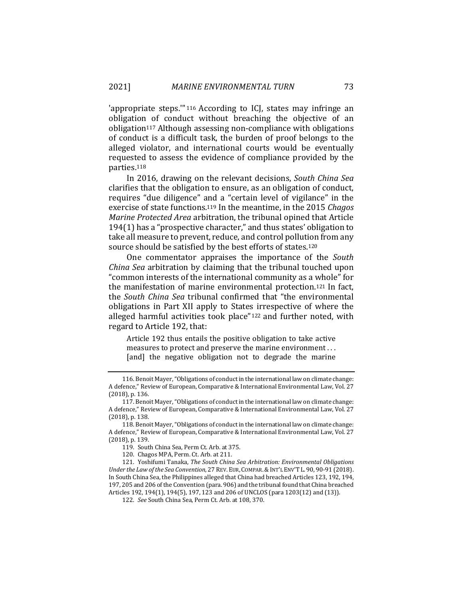'appropriate steps.'" 116 According to ICJ, states may infringe an obligation of conduct without breaching the objective of an obligation<sup>117</sup> Although assessing non-compliance with obligations of conduct is a difficult task, the burden of proof belongs to the alleged violator, and international courts would be eventually requested to assess the evidence of compliance provided by the parties.118

In 2016, drawing on the relevant decisions, *South China Sea* clarifies that the obligation to ensure, as an obligation of conduct, requires "due diligence" and a "certain level of vigilance" in the exercise of state functions.119 In the meantime, in the 2015 *Chagos Marine Protected Area* arbitration, the tribunal opined that Article 194(1) has a "prospective character," and thus states' obligation to take all measure to prevent, reduce, and control pollution from any source should be satisfied by the best efforts of states.120

One commentator appraises the importance of the *South China Sea* arbitration by claiming that the tribunal touched upon "common interests of the international community as a whole" for the manifestation of marine environmental protection.121 In fact, the *South China Sea* tribunal confirmed that "the environmental obligations in Part XII apply to States irrespective of where the alleged harmful activities took place"122 and further noted, with regard to Article 192, that:

Article 192 thus entails the positive obligation to take active measures to protect and preserve the marine environment . . . [and] the negative obligation not to degrade the marine

<sup>116.</sup> Benoit Mayer, "Obligations of conduct in the international law on climate change: A defence," Review of European, Comparative & International Environmental Law, Vol. 27 (2018), p. 136.

<sup>117.</sup> Benoit Mayer, "Obligations of conduct in the international law on climate change: A defence," Review of European, Comparative & International Environmental Law, Vol. 27 (2018), p. 138.

<sup>118.</sup> Benoit Mayer, "Obligations of conduct in the international law on climate change: A defence," Review of European, Comparative & International Environmental Law, Vol. 27 (2018), p. 139.

<sup>119.</sup> South China Sea, Perm Ct. Arb. at 375.

<sup>120.</sup> Chagos MPA, Perm. Ct. Arb. at 211.

<sup>121.</sup> Yoshifumi Tanaka, *The South China Sea Arbitration: Environmental Obligations Under the Law of the Sea Convention*, 27 REV. EUR,COMPAR.&INT'L ENV'TL. 90, 90-91 (2018). In South China Sea, the Philippines alleged that China had breached Articles 123, 192, 194, 197, 205 and 206 of the Convention (para. 906) and the tribunal found that China breached Articles 192, 194(1), 194(5), 197, 123 and 206 of UNCLOS (para 1203(12) and (13)).

<sup>122.</sup> *See* South China Sea, Perm Ct. Arb. at 108, 370.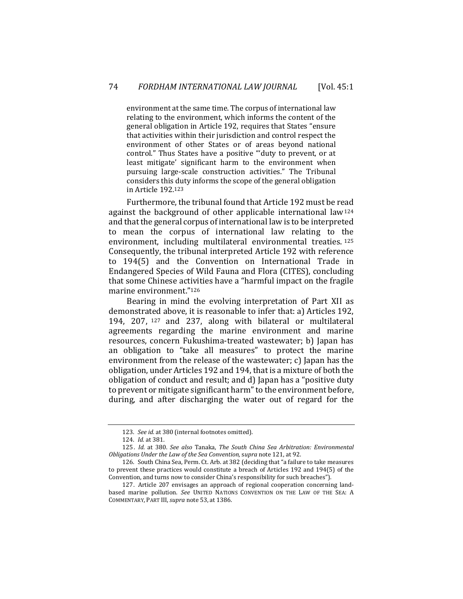environment at the same time. The corpus of international law relating to the environment, which informs the content of the general obligation in Article 192, requires that States "ensure that activities within their jurisdiction and control respect the environment of other States or of areas beyond national control." Thus States have a positive "'duty to prevent, or at least mitigate' significant harm to the environment when pursuing large-scale construction activities." The Tribunal considers this duty informs the scope of the general obligation in Article 192.123

Furthermore, the tribunal found that Article 192 must be read against the background of other applicable international law124 and that the general corpus of international law is to be interpreted to mean the corpus of international law relating to the environment, including multilateral environmental treaties. <sup>125</sup> Consequently, the tribunal interpreted Article 192 with reference to 194(5) and the Convention on International Trade in Endangered Species of Wild Fauna and Flora (CITES), concluding that some Chinese activities have a "harmful impact on the fragile marine environment."126

Bearing in mind the evolving interpretation of Part XII as demonstrated above, it is reasonable to infer that: a) Articles 192, 194, 207, 127 and 237, along with bilateral or multilateral agreements regarding the marine environment and marine resources, concern Fukushima-treated wastewater; b) Japan has an obligation to "take all measures" to protect the marine environment from the release of the wastewater; c) Japan has the obligation, under Articles 192 and 194, that is a mixture of both the obligation of conduct and result; and d) Japan has a "positive duty to prevent or mitigate significant harm" to the environment before, during, and after discharging the water out of regard for the

<sup>123.</sup> *See id.* at 380 (internal footnotes omitted).

<sup>124.</sup> *Id.* at 381.

<sup>125.</sup> *Id.* at 380. *See also* Tanaka, *The South China Sea Arbitration: Environmental Obligations Under the Law of the Sea Convention,* s*upra* note 121, at 92.

<sup>126.</sup> South China Sea, Perm. Ct. Arb. at 382 (deciding that "a failure to take measures to prevent these practices would constitute a breach of Articles 192 and 194(5) of the Convention, and turns now to consider China's responsibility for such breaches").

<sup>127.</sup> Article 207 envisages an approach of regional cooperation concerning landbased marine pollution. *See* UNITED NATIONS CONVENTION ON THE LAW OF THE SEA: A COMMENTARY, PART III,*supra* note 53, at 1386.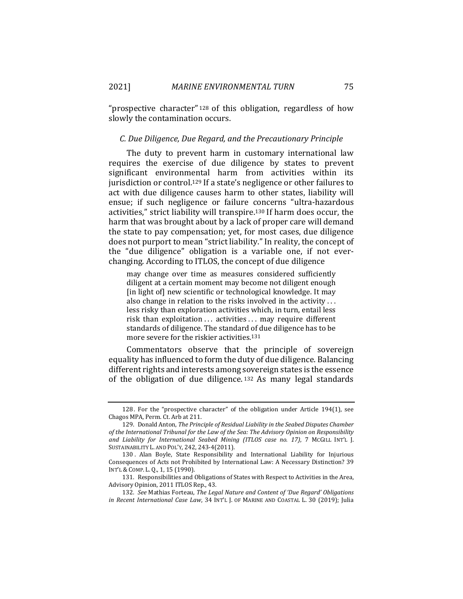"prospective character" 128 of this obligation, regardless of how slowly the contamination occurs.

#### *C. Due Diligence, Due Regard, and the Precautionary Principle*

The duty to prevent harm in customary international law requires the exercise of due diligence by states to prevent significant environmental harm from activities within its jurisdiction or control.129 If a state's negligence or other failures to act with due diligence causes harm to other states, liability will ensue; if such negligence or failure concerns "ultra-hazardous activities," strict liability will transpire.130 If harm does occur, the harm that was brought about by a lack of proper care will demand the state to pay compensation; yet, for most cases, due diligence does not purport to mean "strict liability." In reality, the concept of the "due diligence" obligation is a variable one, if not everchanging. According to ITLOS, the concept of due diligence

may change over time as measures considered sufficiently diligent at a certain moment may become not diligent enough [in light of] new scientific or technological knowledge. It may also change in relation to the risks involved in the activity . . . less risky than exploration activities which, in turn, entail less risk than exploitation ... activities ... may require different standards of diligence. The standard of due diligence has to be more severe for the riskier activities.131

Commentators observe that the principle of sovereign equality has influenced to form the duty of due diligence. Balancing different rights and interests among sovereign states is the essence of the obligation of due diligence. 132 As many legal standards

<sup>128 .</sup> For the "prospective character" of the obligation under Article 194(1), see Chagos MPA, Perm. Ct. Arb at 211.

<sup>129.</sup> Donald Anton, *The Principle of Residual Liability in the Seabed Disputes Chamber of the International Tribunal for the Law of the Sea: The Advisory Opinion on Responsibility and Liability for International Seabed Mining (ITLOS case no. 17)*, 7 MCGILL INT'L J. SUSTAINABILITY L. AND POL'Y, 242, 243-4(2011).

<sup>130 .</sup> Alan Boyle, State Responsibility and International Liability for Injurious Consequences of Acts not Prohibited by International Law: A Necessary Distinction? 39 INT'L & COMP. L. Q., 1, 15 (1990).

<sup>131.</sup> Responsibilities and Obligations of States with Respect to Activities in the Area, Advisory Opinion, 2011 ITLOS Rep., 43.

<sup>132.</sup> *See* Mathias Forteau, *The Legal Nature and Content of 'Due Regard' Obligations in Recent International Case Law*, 34 INT'L J. OF MARINE AND COASTAL L. 30 (2019); Julia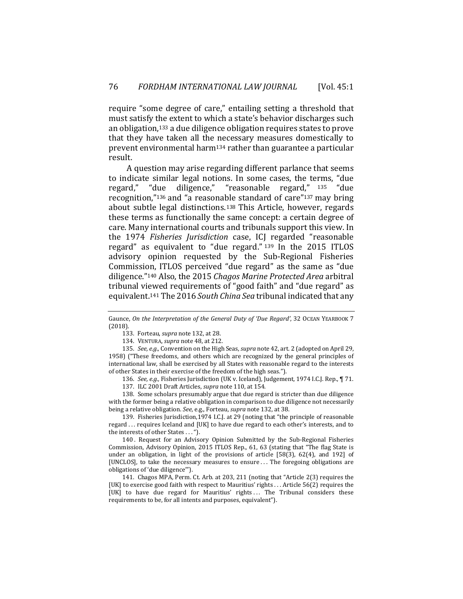require "some degree of care," entailing setting a threshold that must satisfy the extent to which a state's behavior discharges such an obligation,133 a due diligence obligation requires states to prove that they have taken all the necessary measures domestically to prevent environmental harm134 rather than guarantee a particular result.

A question may arise regarding different parlance that seems to indicate similar legal notions. In some cases, the terms, "due regard," "due diligence," "reasonable regard," 135 "due recognition,"136 and "a reasonable standard of care"137 may bring about subtle legal distinctions.138 This Article, however, regards these terms as functionally the same concept: a certain degree of care. Many international courts and tribunals support this view. In the 1974 *Fisheries Jurisdiction* case, ICJ regarded "reasonable regard" as equivalent to "due regard." 139 In the 2015 ITLOS advisory opinion requested by the Sub-Regional Fisheries Commission, ITLOS perceived "due regard" as the same as "due diligence."140 Also, the 2015 *Chagos Marine Protected Area* arbitral tribunal viewed requirements of "good faith" and "due regard" as equivalent.141 The 2016 *South China Sea* tribunal indicated that any

137. ILC 2001 Draft Articles, *supra* note 110, at 154.

138. Some scholars presumably argue that due regard is stricter than due diligence with the former being a relative obligation in comparison to due diligence not necessarily being a relative obligation. *See*, e.g., Forteau, *supra* note 132, at 38.

139. Fisheries Jurisdiction,1974 I.C.J. at 29 (noting that "the principle of reasonable regard . . . requires Iceland and [UK] to have due regard to each other's interests, and to the interests of other States . . . ").

140 . Request for an Advisory Opinion Submitted by the Sub-Regional Fisheries Commission, Advisory Opinion, 2015 ITLOS Rep., 61, 63 (stating that "The flag State is under an obligation, in light of the provisions of article [58(3), 62(4), and 192] of [UNCLOS], to take the necessary measures to ensure ... The foregoing obligations are obligations of 'due diligence'").

141. Chagos MPA, Perm. Ct. Arb. at 203, 211 (noting that "Article 2(3) requires the [UK] to exercise good faith with respect to Mauritius' rights . . . Article 56(2) requires the [UK] to have due regard for Mauritius' rights ... The Tribunal considers these requirements to be, for all intents and purposes, equivalent").

Gaunce, *On the Interpretation of the General Duty of 'Due Regard'*, 32 OCEAN YEARBOOK 7 (2018).

<sup>133.</sup> Forteau, *supra* note 132, at 28.

<sup>134.</sup> VENTURA, *supra* note 48, at 212.

<sup>135.</sup> *See, e.g.,* Convention on the High Seas, *supra* note 42, art. 2 (adopted on April 29, 1958) ("These freedoms, and others which are recognized by the general principles of international law, shall be exercised by all States with reasonable regard to the interests of other States in their exercise of the freedom of the high seas.").

<sup>136.</sup> *See, e.g.,* Fisheries Jurisdiction (UK v. Iceland), Judgement, 1974 I.C.J. Rep., ¶ 71.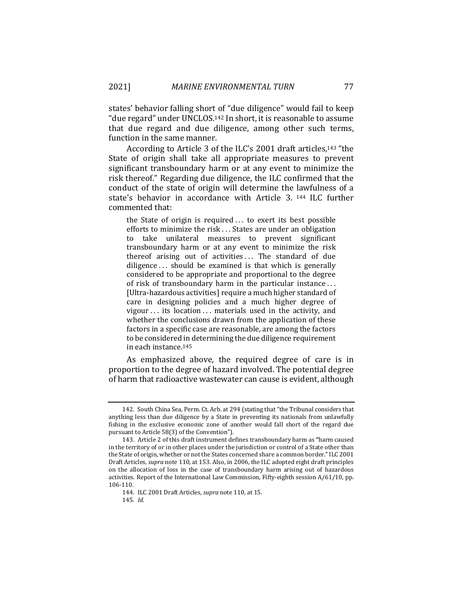states' behavior falling short of "due diligence" would fail to keep "due regard" under UNCLOS.142 In short, it is reasonable to assume that due regard and due diligence, among other such terms, function in the same manner.

According to Article 3 of the ILC's 2001 draft articles,143 "the State of origin shall take all appropriate measures to prevent significant transboundary harm or at any event to minimize the risk thereof." Regarding due diligence, the ILC confirmed that the conduct of the state of origin will determine the lawfulness of a state's behavior in accordance with Article 3. 144 ILC further commented that:

the State of origin is required . . . to exert its best possible efforts to minimize the risk . . . States are under an obligation to take unilateral measures to prevent significant transboundary harm or at any event to minimize the risk thereof arising out of activities ... The standard of due diligence ... should be examined is that which is generally considered to be appropriate and proportional to the degree of risk of transboundary harm in the particular instance . . . [Ultra-hazardous activities] require a much higher standard of care in designing policies and a much higher degree of vigour ... its location ... materials used in the activity, and whether the conclusions drawn from the application of these factors in a specific case are reasonable, are among the factors to be considered in determining the due diligence requirement in each instance.145

As emphasized above, the required degree of care is in proportion to the degree of hazard involved. The potential degree of harm that radioactive wastewater can cause is evident, although

<sup>142.</sup> South China Sea, Perm. Ct. Arb. at 294 (stating that "the Tribunal considers that anything less than due diligence by a State in preventing its nationals from unlawfully fishing in the exclusive economic zone of another would fall short of the regard due pursuant to Article 58(3) of the Convention").

<sup>143.</sup> Article 2 of this draft instrument defines transboundary harm as **"**harm caused in the territory of or in other places under the jurisdiction or control of a State other than the State of origin, whether or not the States concerned share a common border." ILC 2001 Draft Articles, *supra* note 110, at 153. Also, in 2006, the ILC adopted eight draft principles on the allocation of loss in the case of transboundary harm arising out of hazardous activities. Report of the International Law Commission, Fifty-eighth session A/61/10, pp. 106-110.

<sup>144.</sup> ILC 2001 Draft Articles, *supra* note 110, at 15.

<sup>145.</sup> *Id.*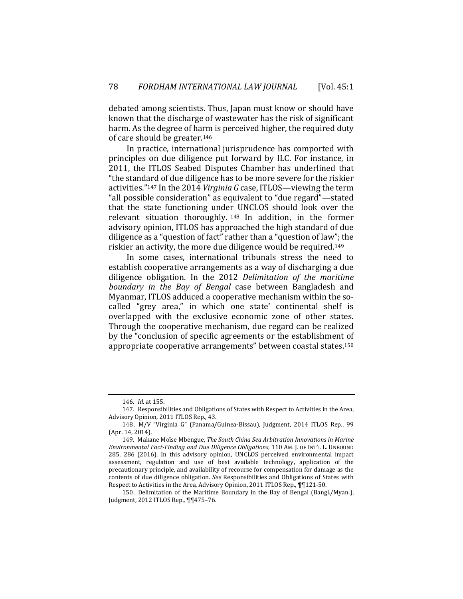debated among scientists. Thus, Japan must know or should have known that the discharge of wastewater has the risk of significant harm. As the degree of harm is perceived higher, the required duty of care should be greater.146

In practice, international jurisprudence has comported with principles on due diligence put forward by ILC. For instance, in 2011, the ITLOS Seabed Disputes Chamber has underlined that "the standard of due diligence has to be more severe for the riskier activities."147 In the 2014 *Virginia G* case, ITLOS—viewing the term "all possible consideration" as equivalent to "due regard"—stated that the state functioning under UNCLOS should look over the relevant situation thoroughly. 148 In addition, in the former advisory opinion, ITLOS has approached the high standard of due diligence as a "question of fact" rather than a "question of law"; the riskier an activity, the more due diligence would be required.149

In some cases, international tribunals stress the need to establish cooperative arrangements as a way of discharging a due diligence obligation. In the 2012 *Delimitation of the maritime boundary in the Bay of Bengal* case between Bangladesh and Myanmar, ITLOS adduced a cooperative mechanism within the socalled "grey area," in which one state' continental shelf is overlapped with the exclusive economic zone of other states. Through the cooperative mechanism, due regard can be realized by the "conclusion of specific agreements or the establishment of appropriate cooperative arrangements" between coastal states.150

<sup>146.</sup> *Id.* at 155.

<sup>147.</sup> Responsibilities and Obligations of States with Respect to Activities in the Area, Advisory Opinion, 2011 ITLOS Rep., 43.

<sup>148 .</sup> M/V "Virginia G" (Panama/Guinea-Bissau), Judgment, 2014 ITLOS Rep., 99 (Apr. 14, 2014).

<sup>149.</sup> Makane Moïse Mbengue, *The South China Sea Arbitration Innovations in Marine Environmental Fact-Finding and Due Diligence Obligations*, 110 AM. J. OF INT'L L. UNBOUND 285, 286 (2016). In this advisory opinion, UNCLOS perceived environmental impact assessment, regulation and use of best available technology, application of the precautionary principle, and availability of recourse for compensation for damage as the contents of due diligence obligation. *See* Responsibilities and Obligations of States with Respect to Activities in the Area, Advisory Opinion, 2011 ITLOS Rep., ¶¶121-50.

<sup>150.</sup> Delimitation of the Maritime Boundary in the Bay of Bengal (Bangl./Myan.), Judgment, 2012 ITLOS Rep., ¶¶475–76.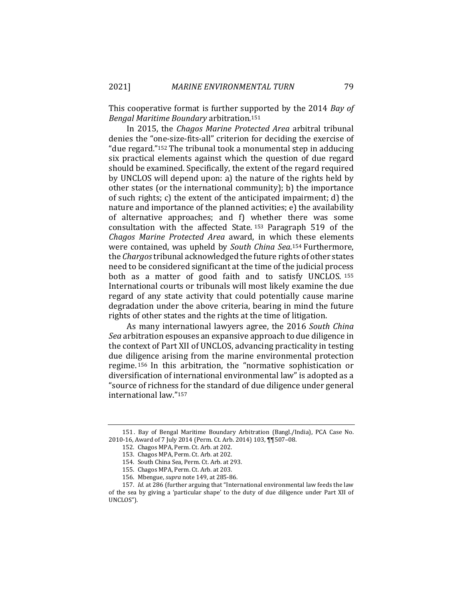This cooperative format is further supported by the 2014 *Bay of Bengal Maritime Boundary* arbitration*.*<sup>151</sup>

In 2015, the *Chagos Marine Protected Area* arbitral tribunal denies the "one-size-fits-all" criterion for deciding the exercise of "due regard."152 The tribunal took a monumental step in adducing six practical elements against which the question of due regard should be examined. Specifically, the extent of the regard required by UNCLOS will depend upon: a) the nature of the rights held by other states (or the international community); b) the importance of such rights; c) the extent of the anticipated impairment; d) the nature and importance of the planned activities; e) the availability of alternative approaches; and f) whether there was some consultation with the affected State. 153 Paragraph 519 of the *Chagos Marine Protected Area* award, in which these elements were contained, was upheld by *South China Sea*.154 Furthermore, the *Chargos* tribunal acknowledged the future rights of other states need to be considered significant at the time of the judicial process both as a matter of good faith and to satisfy UNCLOS. <sup>155</sup> International courts or tribunals will most likely examine the due regard of any state activity that could potentially cause marine degradation under the above criteria, bearing in mind the future rights of other states and the rights at the time of litigation.

As many international lawyers agree, the 2016 *South China Sea* arbitration espouses an expansive approach to due diligence in the context of Part XII of UNCLOS, advancing practicality in testing due diligence arising from the marine environmental protection regime. 156 In this arbitration, the "normative sophistication or diversification of international environmental law" is adopted as a "source of richness for the standard of due diligence under general international law."157

<sup>151 .</sup> Bay of Bengal Maritime Boundary Arbitration (Bangl./India), PCA Case No. 2010-16, Award of 7 July 2014 (Perm. Ct. Arb. 2014) 103, ¶¶507–08.

<sup>152.</sup> Chagos MPA, Perm. Ct. Arb. at 202.

<sup>153.</sup> Chagos MPA, Perm. Ct. Arb. at 202.

<sup>154.</sup> South China Sea, Perm. Ct. Arb. at 293.

<sup>155.</sup> Chagos MPA, Perm. Ct. Arb. at 203.

<sup>156.</sup> Mbengue, *supra* note 149, at 285-86.

<sup>157.</sup> *Id.* at 286 (further arguing that "International environmental law feeds the law of the sea by giving a 'particular shape' to the duty of due diligence under Part XII of UNCLOS").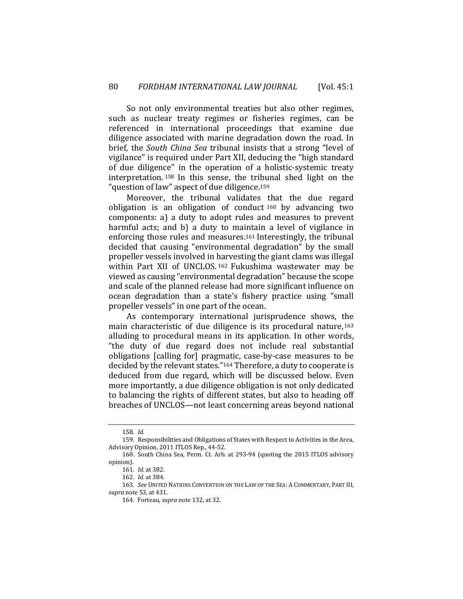So not only environmental treaties but also other regimes, such as nuclear treaty regimes or fisheries regimes, can be referenced in international proceedings that examine due diligence associated with marine degradation down the road. In brief, the *South China Sea* tribunal insists that a strong "level of vigilance" is required under Part XII, deducing the "high standard of due diligence" in the operation of a holistic-systemic treaty interpretation. 158 In this sense, the tribunal shed light on the "question of law" aspect of due diligence.159

Moreover, the tribunal validates that the due regard obligation is an obligation of conduct 160 by advancing two components: a) a duty to adopt rules and measures to prevent harmful acts; and b) a duty to maintain a level of vigilance in enforcing those rules and measures.161 Interestingly, the tribunal decided that causing "environmental degradation" by the small propeller vessels involved in harvesting the giant clams was illegal within Part XII of UNCLOS. 162 Fukushima wastewater may be viewed as causing "environmental degradation" because the scope and scale of the planned release had more significant influence on ocean degradation than a state's fishery practice using "small propeller vessels" in one part of the ocean.

As contemporary international jurisprudence shows, the main characteristic of due diligence is its procedural nature,163 alluding to procedural means in its application. In other words, "the duty of due regard does not include real substantial obligations [calling for] pragmatic, case-by-case measures to be decided by the relevant states."164 Therefore, a duty to cooperate is deduced from due regard, which will be discussed below. Even more importantly, a due diligence obligation is not only dedicated to balancing the rights of different states, but also to heading off breaches of UNCLOS—not least concerning areas beyond national

<sup>158.</sup> *Id.*

<sup>159.</sup> Responsibilities and Obligations of States with Respect to Activities in the Area, Advisory Opinion, 2011 ITLOS Rep., 44-52.

<sup>160.</sup> South China Sea, Perm. Ct. Arb. at 293-94 (quoting the 2015 ITLOS advisory opinion).

<sup>161.</sup> *Id.* at 382.

<sup>162.</sup> *Id.* at 384.

<sup>163.</sup> *See* UNITED NATIONS CONVENTION ON THE LAW OF THE SEA: A COMMENTARY, PART III, *supra* note 53, at 431.

<sup>164.</sup> Forteau, *supra* note 132, at 32.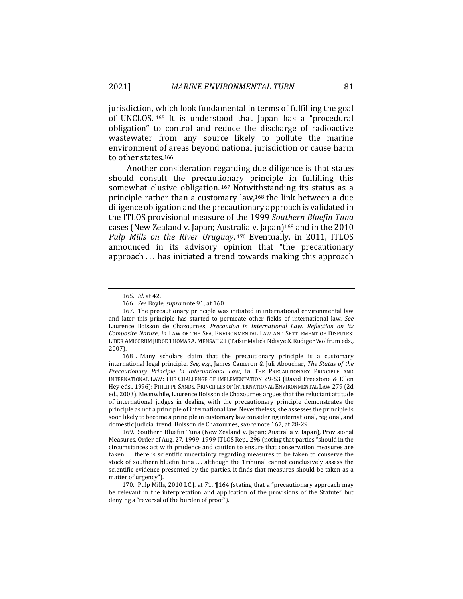jurisdiction, which look fundamental in terms of fulfilling the goal of UNCLOS. 165 It is understood that Japan has a "procedural obligation" to control and reduce the discharge of radioactive wastewater from any source likely to pollute the marine environment of areas beyond national jurisdiction or cause harm to other states.166

Another consideration regarding due diligence is that states should consult the precautionary principle in fulfilling this somewhat elusive obligation. 167 Notwithstanding its status as a principle rather than a customary law,168 the link between a due diligence obligation and the precautionary approach is validated in the ITLOS provisional measure of the 1999 *Southern Bluefin Tuna* cases (New Zealand v. Japan; Australia v. Japan)169 and in the 2010 *Pulp Mills on the River Uruguay*. 170 Eventually, in 2011, ITLOS announced in its advisory opinion that "the precautionary approach . . . has initiated a trend towards making this approach

<sup>165.</sup> *Id.* at 42.

<sup>166.</sup> *See* Boyle, *supra* note 91, at 160.

<sup>167.</sup> The precautionary principle was initiated in international environmental law and later this principle has started to permeate other fields of international law. *See* Laurence Boisson de Chazournes, *Precaution in International Law: Reflection on its Composite Nature*, *in* LAW OF THE SEA, ENVIRONMENTAL LAW AND SETTLEMENT OF DISPUTES: LIBER AMICORUM JUDGE THOMAS A. MENSAH 21 (Tafsir Malick Ndiaye & Rüdiger Wolfrum eds., 2007).

<sup>168 .</sup> Many scholars claim that the precautionary principle is a customary international legal principle. *See, e.g*., James Cameron & Juli Abouchar, *The Status of the Precautionary Principle in International Law*, i*n* THE PRECAUTIONARY PRINCIPLE AND INTERNATIONAL LAW: THE CHALLENGE OF IMPLEMENTATION 29-53 (David Freestone & Ellen Hey eds,, 1996); PHILIPPE SANDS, PRINCIPLES OF INTERNATIONAL ENVIRONMENTAL LAW 279 (2d ed., 2003). Meanwhile, Laurence Boisson de Chazournes argues that the reluctant attitude of international judges in dealing with the precautionary principle demonstrates the principle as not a principle of international law. Nevertheless, she assesses the principle is soon likely to become a principle in customary law considering international, regional, and domestic judicial trend. Boisson de Chazournes, *supra* note 167, at 28-29.

<sup>169.</sup> Southern Bluefin Tuna (New Zealand v. Japan; Australia v. Iapan), Provisional Measures, Order of Aug. 27, 1999, 1999 ITLOS Rep., 296 (noting that parties "should in the circumstances act with prudence and caution to ensure that conservation measures are taken . . . there is scientific uncertainty regarding measures to be taken to conserve the stock of southern bluefin tuna ... although the Tribunal cannot conclusively assess the scientific evidence presented by the parties, it finds that measures should be taken as a matter of urgency").

<sup>170.</sup> Pulp Mills, 2010 I.C.J. at 71, ¶164 (stating that a "precautionary approach may be relevant in the interpretation and application of the provisions of the Statute" but denying a "reversal of the burden of proof").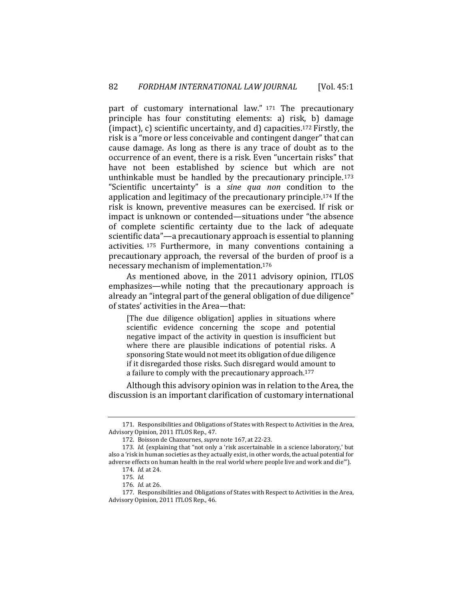part of customary international law." 171 The precautionary principle has four constituting elements: a) risk, b) damage (impact), c) scientific uncertainty, and d) capacities.172 Firstly, the risk is a "more or less conceivable and contingent danger" that can cause damage. As long as there is any trace of doubt as to the occurrence of an event, there is a risk. Even "uncertain risks" that have not been established by science but which are not unthinkable must be handled by the precautionary principle.173 "Scientific uncertainty" is a *sine qua non* condition to the application and legitimacy of the precautionary principle.174 If the risk is known, preventive measures can be exercised. If risk or impact is unknown or contended—situations under "the absence of complete scientific certainty due to the lack of adequate scientific data"—a precautionary approach is essential to planning activities. 175 Furthermore, in many conventions containing a precautionary approach, the reversal of the burden of proof is a necessary mechanism of implementation.176

As mentioned above, in the 2011 advisory opinion, ITLOS emphasizes—while noting that the precautionary approach is already an "integral part of the general obligation of due diligence" of states' activities in the Area—that:

[The due diligence obligation] applies in situations where scientific evidence concerning the scope and potential negative impact of the activity in question is insufficient but where there are plausible indications of potential risks. A sponsoring State would not meet its obligation of due diligence if it disregarded those risks. Such disregard would amount to a failure to comply with the precautionary approach.177

Although this advisory opinion was in relation to the Area, the discussion is an important clarification of customary international

<sup>171.</sup> Responsibilities and Obligations of States with Respect to Activities in the Area, Advisory Opinion, 2011 ITLOS Rep., 47.

<sup>172.</sup> Boisson de Chazournes, *supra* note 167, at 22-23.

<sup>173.</sup> *Id.* (explaining that "not only a 'risk ascertainable in a science laboratory,' but also a 'risk in human societies as they actually exist, in other words, the actual potential for adverse effects on human health in the real world where people live and work and die'"). 174. *Id.* at 24.

<sup>175.</sup> *Id.*

<sup>176.</sup> *Id.* at 26.

<sup>177.</sup> Responsibilities and Obligations of States with Respect to Activities in the Area, Advisory Opinion, 2011 ITLOS Rep., 46.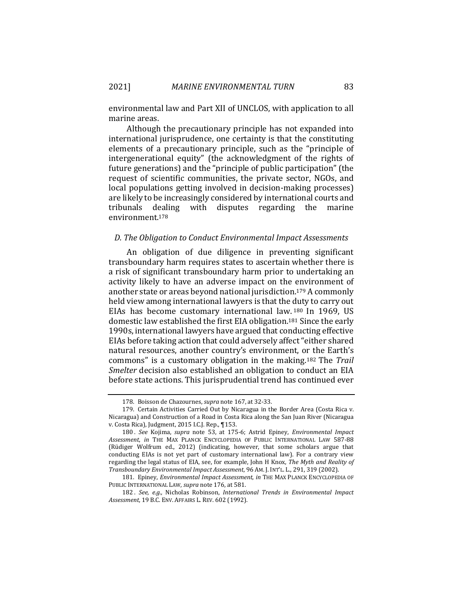environmental law and Part XII of UNCLOS, with application to all marine areas.

Although the precautionary principle has not expanded into international jurisprudence, one certainty is that the constituting elements of a precautionary principle, such as the "principle of intergenerational equity" (the acknowledgment of the rights of future generations) and the "principle of public participation" (the request of scientific communities, the private sector, NGOs, and local populations getting involved in decision-making processes) are likely to be increasingly considered by international courts and tribunals dealing with disputes regarding the marine environment.178

#### *D. The Obligation to Conduct Environmental Impact Ass*e*ssments*

An obligation of due diligence in preventing significant transboundary harm requires states to ascertain whether there is a risk of significant transboundary harm prior to undertaking an activity likely to have an adverse impact on the environment of another state or areas beyond national jurisdiction.179 A commonly held view among international lawyers is that the duty to carry out EIAs has become customary international law. 180 In 1969, US domestic law established the first EIA obligation.181 Since the early 1990s, international lawyers have argued that conducting effective EIAs before taking action that could adversely affect "either shared natural resources, another country's environment, or the Earth's commons" is a customary obligation in the making.182 The *Trail Smelter* decision also established an obligation to conduct an EIA before state actions. This jurisprudential trend has continued ever

<sup>178.</sup> Boisson de Chazournes, *supra* note 167, at 32-33.

<sup>179.</sup> Certain Activities Carried Out by Nicaragua in the Border Area (Costa Rica v. Nicaragua) and Construction of a Road in Costa Rica along the San Juan River (Nicaragua v. Costa Rica), Judgment, 2015 I.C.J. Rep., ¶153.

<sup>180 .</sup> *See* Kojima, *supra* note 53, at 175-6; Astrid Epiney, *Environmental Impact Assessment*, *in* THE MAX PLANCK ENCYCLOPEDIA OF PUBLIC INTERNATIONAL LAW 587-88 (Rüdiger Wolfrum ed., 2012) (indicating, however, that some scholars argue that conducting EIAs is not yet part of customary international law). For a contrary view regarding the legal status of EIA, see, for example, John H Knox, *The Myth and Reality of Transboundary Environmental Impact Assessment*, 96 AM. J. INT'L. L., 291, 319 (2002).

<sup>181.</sup> Epiney, *Environmental Impact Assessment*, *in* THE MAX PLANCK ENCYCLOPEDIA OF PUBLIC INTERNATIONAL LAW, *supra* note 176, at 581.

<sup>182 .</sup> *See, e.g.,* Nicholas Robinson, *International Trends in Environmental Impact Assessment*, 19 B.C. ENV. AFFAIRS L. REV. 602 (1992).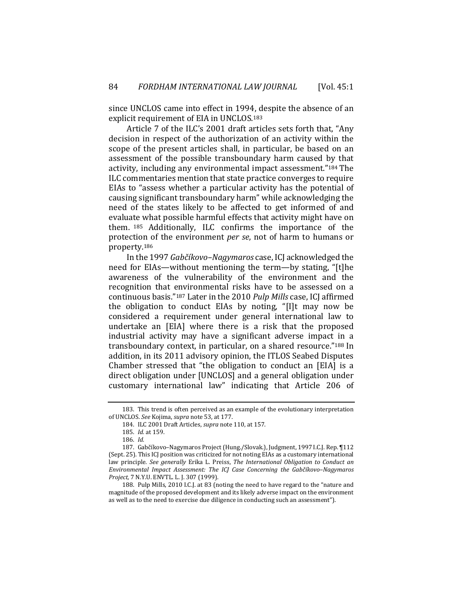since UNCLOS came into effect in 1994, despite the absence of an explicit requirement of EIA in UNCLOS.183

Article 7 of the ILC's 2001 draft articles sets forth that, "Any decision in respect of the authorization of an activity within the scope of the present articles shall, in particular, be based on an assessment of the possible transboundary harm caused by that activity, including any environmental impact assessment."184 The ILC commentaries mention that state practice converges to require EIAs to "assess whether a particular activity has the potential of causing significant transboundary harm" while acknowledging the need of the states likely to be affected to get informed of and evaluate what possible harmful effects that activity might have on them. 185 Additionally, ILC confirms the importance of the protection of the environment *per se*, not of harm to humans or property.186

In the 1997 *Gabčíkovo–Nagymaros* case, ICJ acknowledged the need for EIAs—without mentioning the term—by stating, "[t]he awareness of the vulnerability of the environment and the recognition that environmental risks have to be assessed on a continuous basis."187 Later in the 2010 *Pulp Mills* case, ICJ affirmed the obligation to conduct EIAs by noting, "[I]t may now be considered a requirement under general international law to undertake an [EIA] where there is a risk that the proposed industrial activity may have a significant adverse impact in a transboundary context, in particular, on a shared resource."188 In addition, in its 2011 advisory opinion, the ITLOS Seabed Disputes Chamber stressed that "the obligation to conduct an [EIA] is a direct obligation under [UNCLOS] and a general obligation under customary international law" indicating that Article 206 of

<sup>183.</sup> This trend is often perceived as an example of the evolutionary interpretation of UNCLOS. *See* Kojima, *supra* note 53, at 177.

<sup>184.</sup> ILC 2001 Draft Articles, *supra* note 110, at 157.

<sup>185.</sup> *Id.* at 159.

<sup>186.</sup> *Id.* 

<sup>187.</sup> Gabčíkovo–Nagymaros Project (Hung./Slovak.), Judgment, 1997 I.C.J. Rep. ¶112 (Sept. 25). This ICJ position was criticized for not noting EIAs as a customary international law principle*. See generally* Erika L. Preiss, *The International Obligation to Conduct an Environmental Impact Assessment: The ICJ Case Concerning the Gabčíkovo–Nagymaros Project,* 7 N.Y.U. ENVTL. L. J. 307 (1999).

<sup>188.</sup> Pulp Mills, 2010 I.C.J. at 83 (noting the need to have regard to the "nature and magnitude of the proposed development and its likely adverse impact on the environment as well as to the need to exercise due diligence in conducting such an assessment").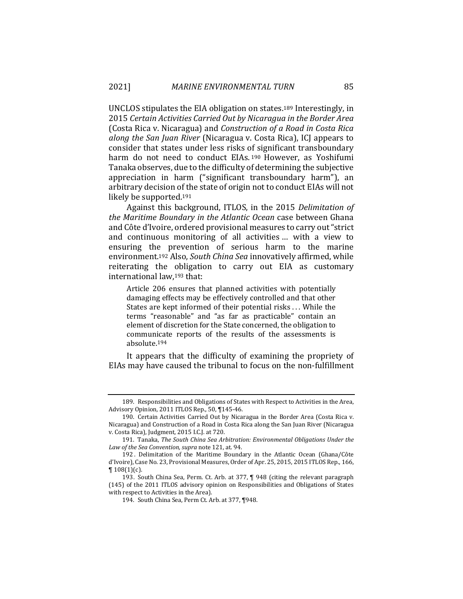UNCLOS stipulates the EIA obligation on states.189 Interestingly, in 2015 *Certain Activities Carried Out by Nicaragua in the Border Area* (Costa Rica v. Nicaragua) and *Construction of a Road in Costa Rica along the San Juan River* (Nicaragua v. Costa Rica), ICJ appears to consider that states under less risks of significant transboundary harm do not need to conduct EIAs. 190 However, as Yoshifumi Tanaka observes, due to the difficulty of determining the subjective appreciation in harm ("significant transboundary harm"), an arbitrary decision of the state of origin not to conduct EIAs will not likely be supported.191

Against this background, ITLOS, in the 2015 *Delimitation of the Maritime Boundary in the Atlantic Ocean* case between Ghana and Côte d'Ivoire, ordered provisional measures to carry out "strict and continuous monitoring of all activities … with a view to ensuring the prevention of serious harm to the marine environment.192 Also, *South China Sea* innovatively affirmed, while reiterating the obligation to carry out EIA as customary international law,193 that:

Article 206 ensures that planned activities with potentially damaging effects may be effectively controlled and that other States are kept informed of their potential risks . . . While the terms "reasonable" and "as far as practicable" contain an element of discretion for the State concerned, the obligation to communicate reports of the results of the assessments is absolute.194

It appears that the difficulty of examining the propriety of EIAs may have caused the tribunal to focus on the non-fulfillment

<sup>189.</sup> Responsibilities and Obligations of States with Respect to Activities in the Area, Advisory Opinion, 2011 ITLOS Rep., 50, ¶145-46.

<sup>190.</sup> Certain Activities Carried Out by Nicaragua in the Border Area (Costa Rica v. Nicaragua) and Construction of a Road in Costa Rica along the San Juan River (Nicaragua v. Costa Rica), Judgment, 2015 I.C.J. at 720.

<sup>191.</sup> Tanaka, *The South China Sea Arbitration: Environmental Obligations Under the Law of the Sea Convention, supra* note 121, at. 94.

<sup>192 .</sup> Delimitation of the Maritime Boundary in the Atlantic Ocean (Ghana/Côte d'Ivoire), Case No. 23, Provisional Measures, Order of Apr. 25, 2015, 2015 ITLOS Rep., 166, ¶ 108(1)(c).

<sup>193.</sup> South China Sea, Perm. Ct. Arb. at 377, ¶ 948 (citing the relevant paragraph (145) of the 2011 ITLOS advisory opinion on Responsibilities and Obligations of States with respect to Activities in the Area).

<sup>194.</sup> South China Sea, Perm Ct. Arb. at 377, ¶948.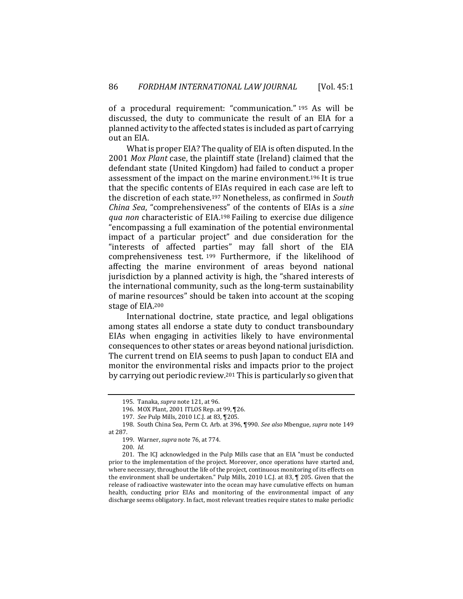of a procedural requirement: "communication." 195 As will be discussed, the duty to communicate the result of an EIA for a planned activity to the affected states is included as part of carrying out an EIA.

What is proper EIA? The quality of EIA is often disputed. In the 2001 *Mox Plant* case, the plaintiff state (Ireland) claimed that the defendant state (United Kingdom) had failed to conduct a proper assessment of the impact on the marine environment.196 It is true that the specific contents of EIAs required in each case are left to the discretion of each state.197 Nonetheless, as confirmed in *South China Sea*, "comprehensiveness" of the contents of EIAs is a *sine qua non* characteristic of EIA.198 Failing to exercise due diligence "encompassing a full examination of the potential environmental impact of a particular project" and due consideration for the "interests of affected parties" may fall short of the EIA comprehensiveness test. 199 Furthermore, if the likelihood of affecting the marine environment of areas beyond national jurisdiction by a planned activity is high, the "shared interests of the international community, such as the long-term sustainability of marine resources" should be taken into account at the scoping stage of EIA.200

International doctrine, state practice, and legal obligations among states all endorse a state duty to conduct transboundary EIAs when engaging in activities likely to have environmental consequences to other states or areas beyond national jurisdiction. The current trend on EIA seems to push Japan to conduct EIA and monitor the environmental risks and impacts prior to the project by carrying out periodic review.201 This is particularly so given that

<sup>195.</sup> Tanaka, *supra* note 121, at 96.

<sup>196.</sup> MOX Plant, 2001 ITLOS Rep. at 99, ¶26.

<sup>197.</sup> *See* Pulp Mills, 2010 I.C.J. at 83, ¶205.

<sup>198.</sup> South China Sea, Perm Ct. Arb. at 396, ¶990. *See also* Mbengue, *supra* note 149 at 287.

<sup>199.</sup> Warner, *supra* note 76, at 774.

<sup>200.</sup> *Id.*

<sup>201.</sup> The ICJ acknowledged in the Pulp Mills case that an EIA "must be conducted prior to the implementation of the project. Moreover, once operations have started and, where necessary, throughout the life of the project, continuous monitoring of its effects on the environment shall be undertaken." Pulp Mills, 2010 I.C.J. at 83, ¶ 205. Given that the release of radioactive wastewater into the ocean may have cumulative effects on human health, conducting prior EIAs and monitoring of the environmental impact of any discharge seems obligatory. In fact, most relevant treaties require states to make periodic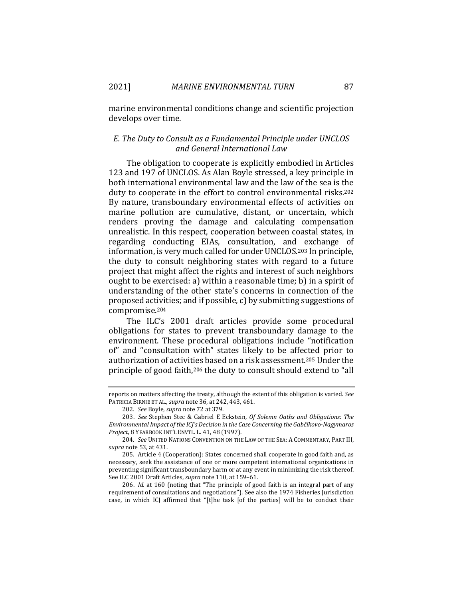marine environmental conditions change and scientific projection develops over time.

# *E. The Duty to Consult as a Fundamental Principle under UNCLOS and General International Law*

The obligation to cooperate is explicitly embodied in Articles 123 and 197 of UNCLOS. As Alan Boyle stressed, a key principle in both international environmental law and the law of the sea is the duty to cooperate in the effort to control environmental risks.202 By nature, transboundary environmental effects of activities on marine pollution are cumulative, distant, or uncertain, which renders proving the damage and calculating compensation unrealistic. In this respect, cooperation between coastal states, in regarding conducting EIAs, consultation, and exchange of information, is very much called for under UNCLOS.203 In principle, the duty to consult neighboring states with regard to a future project that might affect the rights and interest of such neighbors ought to be exercised: a) within a reasonable time; b) in a spirit of understanding of the other state's concerns in connection of the proposed activities; and if possible, c) by submitting suggestions of compromise.204

The ILC's 2001 draft articles provide some procedural obligations for states to prevent transboundary damage to the environment. These procedural obligations include "notification of" and "consultation with" states likely to be affected prior to authorization of activities based on a risk assessment.205 Under the principle of good faith,206 the duty to consult should extend to "all

206. *Id.* at 160 (noting that "The principle of good faith is an integral part of any requirement of consultations and negotiations"). See also the 1974 Fisheries Jurisdiction case, in which ICJ affirmed that "[t]he task [of the parties] will be to conduct their

reports on matters affecting the treaty, although the extent of this obligation is varied. *See* PATRICIA BIRNIE ET AL., *supra* note 36, at 242, 443, 461.

<sup>202.</sup> *See* Boyle*, supra* note 72 at 379.

<sup>203.</sup> *See* Stephen Stec & Gabriel E Eckstein, *Of Solemn Oaths and Obligations: The Environmental Impact of the ICJ's Decision in the Case Concerning the Gabčíkovo-Nagymaros Project*, 8 YEARBOOK INT'L ENVTL. L. 41, 48 (1997).

<sup>204.</sup> *See* UNITED NATIONS CONVENTION ON THE LAW OF THE SEA: A COMMENTARY, PART III, *supra* note 53, at 431.

<sup>205.</sup> Article 4 (Cooperation): States concerned shall cooperate in good faith and, as necessary, seek the assistance of one or more competent international organizations in preventing significant transboundary harm or at any event in minimizing the risk thereof. See ILC 2001 Draft Articles, *supra* note 110, at 159–61.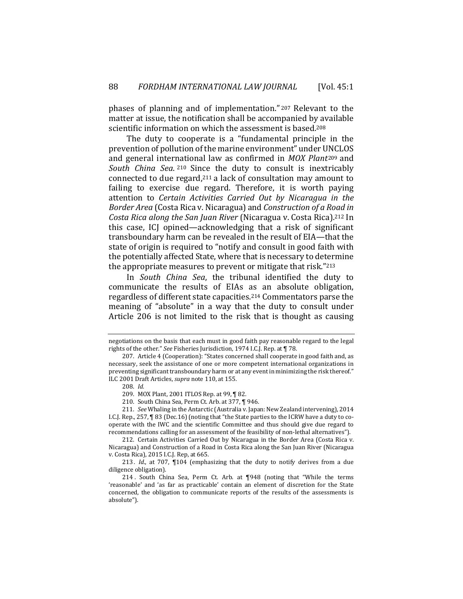phases of planning and of implementation." 207 Relevant to the matter at issue, the notification shall be accompanied by available scientific information on which the assessment is based.208

The duty to cooperate is a "fundamental principle in the prevention of pollution of the marine environment" under UNCLOS and general international law as confirmed in *MOX Plant*209 and *South China Sea*. 210 Since the duty to consult is inextricably connected to due regard,211 a lack of consultation may amount to failing to exercise due regard. Therefore, it is worth paying attention to *Certain Activities Carried Out by Nicaragua in the Border Area* (Costa Rica v. Nicaragua) and *Construction of a Road in Costa Rica along the San Juan River* (Nicaragua v. Costa Rica).212 In this case, ICJ opined—acknowledging that a risk of significant transboundary harm can be revealed in the result of EIA—that the state of origin is required to "notify and consult in good faith with the potentially affected State, where that is necessary to determine the appropriate measures to prevent or mitigate that risk."213

In *South China Sea*, the tribunal identified the duty to communicate the results of EIAs as an absolute obligation, regardless of different state capacities.214 Commentators parse the meaning of "absolute" in a way that the duty to consult under Article 206 is not limited to the risk that is thought as causing

negotiations on the basis that each must in good faith pay reasonable regard to the legal rights of the other." *See* Fisheries Jurisdiction, 1974 I.C.J. Rep. at ¶ 78.

<sup>207.</sup> Article 4 (Cooperation): "States concerned shall cooperate in good faith and, as necessary, seek the assistance of one or more competent international organizations in preventing significant transboundary harm or at any event in minimizing the risk thereof." ILC 2001 Draft Articles, *supra* note 110, at 155.

<sup>208.</sup> *Id.*

<sup>209.</sup> MOX Plant, 2001 ITLOS Rep. at 99, ¶ 82.

<sup>210.</sup> South China Sea, Perm Ct. Arb. at 377, ¶ 946.

<sup>211.</sup> *See* Whaling in the Antarctic (Australia v. Japan: New Zealand intervening), 2014 I.C.J. Rep., 257, ¶ 83 (Dec.16) (noting that "the State parties to the ICRW have a duty to cooperate with the IWC and the scientific Committee and thus should give due regard to recommendations calling for an assessment of the feasibility of non-lethal alternatives").

<sup>212.</sup> Certain Activities Carried Out by Nicaragua in the Border Area (Costa Rica v. Nicaragua) and Construction of a Road in Costa Rica along the San Juan River (Nicaragua v. Costa Rica), 2015 I.C.J. Rep, at 665.

<sup>213 .</sup> *Id.*, at 707, ¶104 (emphasizing that the duty to notify derives from a due diligence obligation).

<sup>214 .</sup> South China Sea, Perm Ct. Arb. at ¶948 (noting that "While the terms 'reasonable' and 'as far as practicable' contain an element of discretion for the State concerned, the obligation to communicate reports of the results of the assessments is absolute").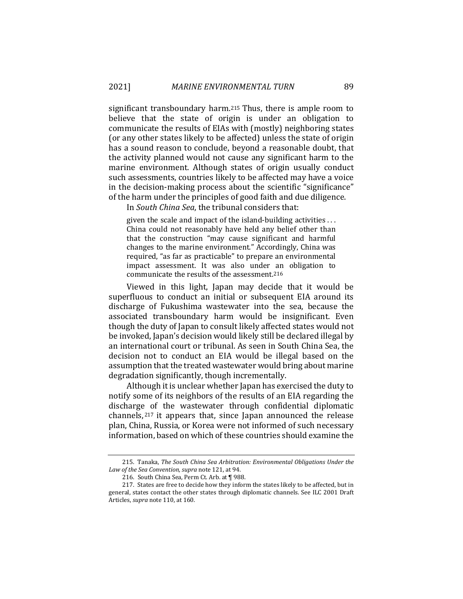significant transboundary harm.215 Thus, there is ample room to believe that the state of origin is under an obligation to communicate the results of EIAs with (mostly) neighboring states (or any other states likely to be affected) unless the state of origin has a sound reason to conclude, beyond a reasonable doubt, that the activity planned would not cause any significant harm to the marine environment. Although states of origin usually conduct such assessments, countries likely to be affected may have a voice in the decision-making process about the scientific "significance" of the harm under the principles of good faith and due diligence.

In *South China Sea*, the tribunal considers that:

given the scale and impact of the island-building activities . . . China could not reasonably have held any belief other than that the construction "may cause significant and harmful changes to the marine environment." Accordingly, China was required, "as far as practicable" to prepare an environmental impact assessment. It was also under an obligation to communicate the results of the assessment.216

Viewed in this light, Japan may decide that it would be superfluous to conduct an initial or subsequent EIA around its discharge of Fukushima wastewater into the sea, because the associated transboundary harm would be insignificant. Even though the duty of Japan to consult likely affected states would not be invoked, Japan's decision would likely still be declared illegal by an international court or tribunal. As seen in South China Sea, the decision not to conduct an EIA would be illegal based on the assumption that the treated wastewater would bring about marine degradation significantly, though incrementally.

Although it is unclear whether Japan has exercised the duty to notify some of its neighbors of the results of an EIA regarding the discharge of the wastewater through confidential diplomatic channels, 217 it appears that, since Japan announced the release plan, China, Russia, or Korea were not informed of such necessary information, based on which of these countries should examine the

<sup>215.</sup> Tanaka, *The South China Sea Arbitration: Environmental Obligations Under the Law of the Sea Convention, supra* note 121, at 94.

<sup>216.</sup> South China Sea, Perm Ct. Arb. at ¶ 988.

<sup>217.</sup> States are free to decide how they inform the states likely to be affected, but in general, states contact the other states through diplomatic channels. See ILC 2001 Draft Articles, *supra* note 110, at 160.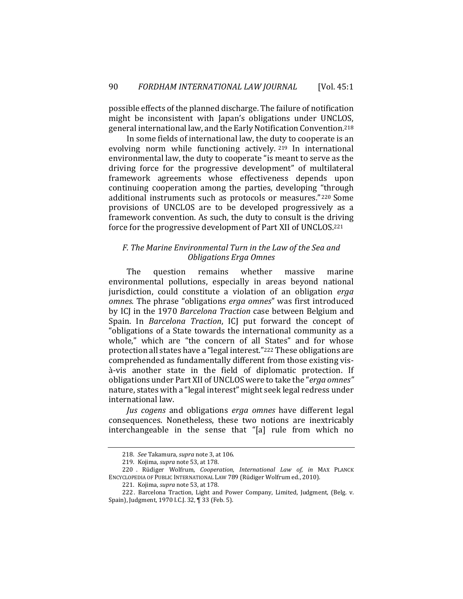possible effects of the planned discharge. The failure of notification might be inconsistent with Japan's obligations under UNCLOS, general international law, and the Early Notification Convention.218

In some fields of international law, the duty to cooperate is an evolving norm while functioning actively. 219 In international environmental law, the duty to cooperate "is meant to serve as the driving force for the progressive development" of multilateral framework agreements whose effectiveness depends upon continuing cooperation among the parties, developing "through additional instruments such as protocols or measures."220 Some provisions of UNCLOS are to be developed progressively as a framework convention. As such, the duty to consult is the driving force for the progressive development of Part XII of UNCLOS.221

# *F. The Marine Environmental Turn in the Law of the Sea and Obligations Erga Omnes*

The question remains whether massive marine environmental pollutions, especially in areas beyond national jurisdiction, could constitute a violation of an obligation *erga omnes.* The phrase "obligations *erga omnes*" was first introduced by ICJ in the 1970 *Barcelona Traction* case between Belgium and Spain. In *Barcelona Traction*, ICJ put forward the concept of "obligations of a State towards the international community as a whole," which are "the concern of all States" and for whose protection all states have a "legal interest."222 These obligations are comprehended as fundamentally different from those existing visà-vis another state in the field of diplomatic protection. If obligations under Part XII of UNCLOS were to take the "*erga omnes"* nature, states with a "legal interest" might seek legal redress under international law.

*Jus cogens* and obligations *erga omnes* have different legal consequences. Nonetheless, these two notions are inextricably interchangeable in the sense that "[a] rule from which no

<sup>218.</sup> *See* Takamura, *supra* note 3, at 106.

<sup>219.</sup> Kojima, *supra* note 53, at 178.

<sup>220 .</sup> Rüdiger Wolfrum, *Cooperation, International Law of, in* MAX PLANCK ENCYCLOPEDIA OF PUBLIC INTERNATIONAL LAW 789 (Rüdiger Wolfrum ed., 2010).

<sup>221.</sup> Kojima, *supra* note 53, at 178.

<sup>222.</sup> Barcelona Traction, Light and Power Company, Limited, Judgment, (Belg. v. Spain), Judgment, 1970 I.C.J. 32, ¶ 33 (Feb. 5).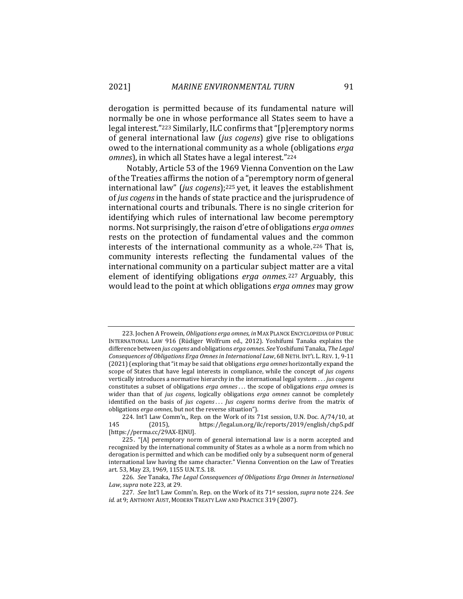derogation is permitted because of its fundamental nature will normally be one in whose performance all States seem to have a legal interest."223 Similarly, ILC confirms that "[p]eremptory norms of general international law (*jus cogens*) give rise to obligations owed to the international community as a whole (obligations *erga omnes*), in which all States have a legal interest."224

Notably, Article 53 of the 1969 Vienna Convention on the Law of the Treaties affirms the notion of a "peremptory norm of general international law" (*jus cogens*);225 yet, it leaves the establishment of *jus cogens* in the hands of state practice and the jurisprudence of international courts and tribunals. There is no single criterion for identifying which rules of international law become peremptory norms. Not surprisingly, the raison d'etre of obligations *erga omnes* rests on the protection of fundamental values and the common interests of the international community as a whole.<sup>226</sup> That is, community interests reflecting the fundamental values of the international community on a particular subject matter are a vital element of identifying obligations *erga onmes*. 227 Arguably, this would lead to the point at which obligations *erga omnes* may grow

<sup>223.</sup> Jochen A Frowein, *Obligations erga omnes, in* MAX PLANCK ENCYCLOPEDIA OF PUBLIC INTERNATIONAL LAW 916 (Rüdiger Wolfrum ed., 2012). Yoshifumi Tanaka explains the difference between *jus cogens* and obligations *erga omnes*. *See* Yoshifumi Tanaka, *The Legal Consequences of Obligations Erga Omnes in International Law*, 68 NETH. INT'L L. REV. 1, 9-11 (2021) (exploring that "it may be said that obligations *erga omnes* horizontally expand the scope of States that have legal interests in compliance, while the concept of *jus cogens* vertically introduces a normative hierarchy in the international legal system . . . *jus cogens* constitutes a subset of obligations *erga omnes* . . . the scope of obligations *erga omnes* is wider than that of *jus cogens*, logically obligations *erga omnes* cannot be completely identified on the basis of *jus cogens* . . . *Jus cogens* norms derive from the matrix of obligations *erga omnes,* but not the reverse situation").

<sup>224.</sup> Int'l Law Comm'n,, Rep. on the Work of its 71st session, U.N. Doc. A/74/10, at 145 (2015), https://legal.un.org/ilc/reports/2019/english/chp5.pdf [https://perma.cc/29AX-EJNU].

<sup>225. &</sup>quot;[A] peremptory norm of general international law is a norm accepted and recognized by the international community of States as a whole as a norm from which no derogation is permitted and which can be modified only by a subsequent norm of general international law having the same character." Vienna Convention on the Law of Treaties art. 53, May 23, 1969, 1155 U.N.T.S. 18.

<sup>226.</sup> *See* Tanaka, *The Legal Consequences of Obligations Erga Omnes in International Law*, *supra* note 223, at 29.

<sup>227.</sup> *See* Int'l Law Comm'n. Rep. on the Work of its 71st session, *supra* note 224. *See id.* at 9; ANTHONY AUST, MODERN TREATY LAW AND PRACTICE 319 (2007).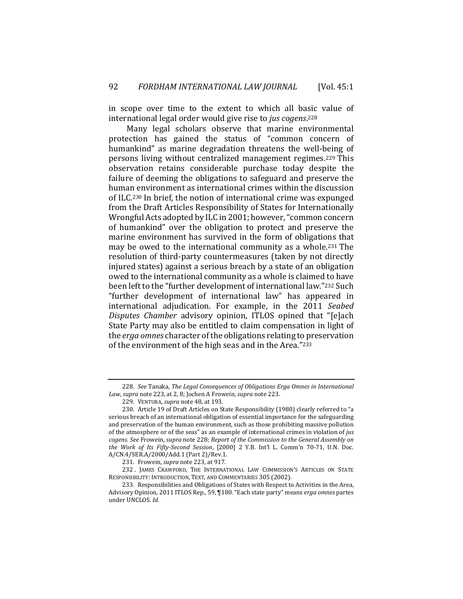in scope over time to the extent to which all basic value of international legal order would give rise to *jus cogens*.228

Many legal scholars observe that marine environmental protection has gained the status of "common concern of humankind" as marine degradation threatens the well-being of persons living without centralized management regimes.229 This observation retains considerable purchase today despite the failure of deeming the obligations to safeguard and preserve the human environment as international crimes within the discussion of ILC.230 In brief, the notion of international crime was expunged from the Draft Articles Responsibility of States for Internationally Wrongful Acts adopted by ILC in 2001; however, "common concern of humankind" over the obligation to protect and preserve the marine environment has survived in the form of obligations that may be owed to the international community as a whole.231 The resolution of third-party countermeasures (taken by not directly injured states) against a serious breach by a state of an obligation owed to the international community as a whole is claimed to have been left to the "further development of international law."232 Such "further development of international law" has appeared in international adjudication. For example, in the 2011 *Seabed Disputes Chamber* advisory opinion, ITLOS opined that "[e]ach State Party may also be entitled to claim compensation in light of the *erga omnes* character of the obligations relating to preservation of the environment of the high seas and in the Area."233

<sup>228.</sup> *See* Tanaka, *The Legal Consequences of Obligations Erga Omnes in International Law*, *supra* note 223, at 2, 8; Jochen A Frowein, *supra* note 223.

<sup>229.</sup> VENTURA, *supra* note 48, at 193.

<sup>230.</sup> Article 19 of Draft Articles on State Responsibility (1980) clearly referred to "a serious breach of an international obligation of essential importance for the safeguarding and preservation of the human environment, such as those prohibiting massive pollution of the atmosphere or of the seas" as an example of international crimes in violation of *jus cogens*. *See* Frowein, *supra* note 228; *Report of the Commission to the General Assembly on the Work of Its Fifty-Second Session*, [2000] 2 Y.B. Int'l L. Comm'n 70-71, U.N. Doc. A/CN.4/SER.A/2000/Add.1 (Part 2)/Rev.1.

<sup>231.</sup> Frowein, *supra* note 223, at 917.

<sup>232 .</sup> JAMES CRAWFORD, THE INTERNATIONAL LAW COMMISSION'S ARTICLES ON STATE RESPONSIBILITY: INTRODUCTION, TEXT, AND COMMENTARIES 305 (2002).

<sup>233.</sup> Responsibilities and Obligations of States with Respect to Activities in the Area, Advisory Opinion, 2011 ITLOS Rep., 59, ¶180. "Each state party" means *erga omnes* partes under UNCLOS. *Id.*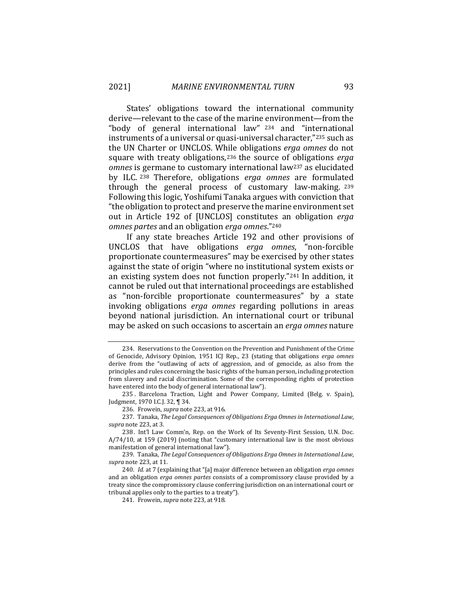States' obligations toward the international community derive—relevant to the case of the marine environment—from the "body of general international law" 234 and "international instruments of a universal or quasi-universal character,"235 such as the UN Charter or UNCLOS. While obligations *erga omnes* do not square with treaty obligations,236 the source of obligations *erga omnes* is germane to customary international law237 as elucidated by ILC. 238 Therefore, obligations *erga omnes* are formulated through the general process of customary law-making. <sup>239</sup> Following this logic, Yoshifumi Tanaka argues with conviction that "the obligation to protect and preserve the marine environment set out in Article 192 of [UNCLOS] constitutes an obligation *erga omnes partes* and an obligation *erga omnes*."240

If any state breaches Article 192 and other provisions of UNCLOS that have obligations *erga omnes*, "non-forcible proportionate countermeasures" may be exercised by other states against the state of origin "where no institutional system exists or an existing system does not function properly."241 In addition, it cannot be ruled out that international proceedings are established as "non-forcible proportionate countermeasures" by a state invoking obligations *erga omnes* regarding pollutions in areas beyond national jurisdiction. An international court or tribunal may be asked on such occasions to ascertain an *erga omnes* nature

<sup>234.</sup> Reservations to the Convention on the Prevention and Punishment of the Crime of Genocide, Advisory Opinion, 1951 ICJ Rep., 23 (stating that obligations *erga omnes* derive from the "outlawing of acts of aggression, and of genocide, as also from the principles and rules concerning the basic rights of the human person, including protection from slavery and racial discrimination. Some of the corresponding rights of protection have entered into the body of general international law").

<sup>235 .</sup> Barcelona Traction, Light and Power Company, Limited (Belg. v. Spain), Judgment, 1970 I.C.J. 32, ¶ 34.

<sup>236.</sup> Frowein, *supra* note 223, at 916.

<sup>237.</sup> Tanaka, *The Legal Consequences of Obligations Erga Omnes in International Law*, *supra* note 223, at 3.

<sup>238.</sup> Int'l Law Comm'n, Rep. on the Work of Its Seventy-First Session, U.N. Doc. A/74/10, at 159 (2019) (noting that "customary international law is the most obvious manifestation of general international law").

<sup>239.</sup> Tanaka, *The Legal Consequences of Obligations Erga Omnes in International Law*, *supra* note 223, at 11.

<sup>240.</sup> *Id.* at 7 (explaining that "[a] major difference between an obligation *erga omnes* and an obligation *erga omnes partes* consists of a compromissory clause provided by a treaty since the compromissory clause conferring jurisdiction on an international court or tribunal applies only to the parties to a treaty").

<sup>241.</sup> Frowein, *supra* note 223, at 918.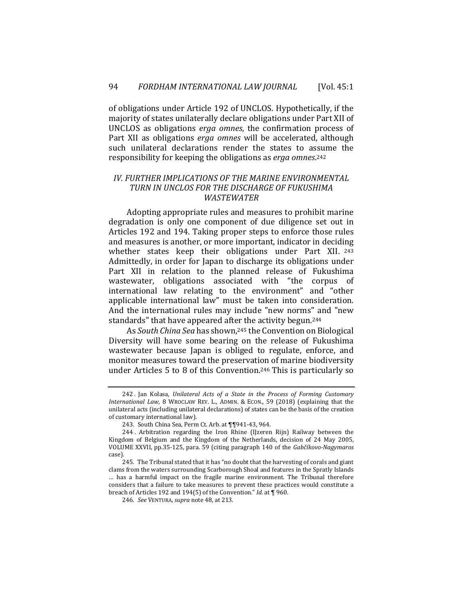of obligations under Article 192 of UNCLOS. Hypothetically, if the majority of states unilaterally declare obligations under Part XII of UNCLOS as obligations *erga omnes*, the confirmation process of Part XII as obligations *erga omnes* will be accelerated, although such unilateral declarations render the states to assume the responsibility for keeping the obligations as *erga omnes*.242

### *IV. FURTHER IMPLICATIONS OF THE MARINE ENVIRONMENTAL TURN IN UNCLOS FOR THE DISCHARGE OF FUKUSHIMA WASTEWATER*

Adopting appropriate rules and measures to prohibit marine degradation is only one component of due diligence set out in Articles 192 and 194. Taking proper steps to enforce those rules and measures is another, or more important, indicator in deciding whether states keep their obligations under Part XII. 243 Admittedly, in order for Japan to discharge its obligations under Part XII in relation to the planned release of Fukushima wastewater, obligations associated with "the corpus of international law relating to the environment" and "other applicable international law" must be taken into consideration. And the international rules may include "new norms" and "new standards" that have appeared after the activity begun.244

As *South China Sea* has shown,245 the Convention on Biological Diversity will have some bearing on the release of Fukushima wastewater because Japan is obliged to regulate, enforce, and monitor measures toward the preservation of marine biodiversity under Articles 5 to 8 of this Convention.246 This is particularly so

<sup>242 .</sup> Jan Kolasa, *Unilateral Acts of a State in the Process of Forming Customary International Law*, 8 WROCLAW REV. L., ADMIN. & ECON., 59 (2018) (explaining that the unilateral acts (including unilateral declarations) of states can be the basis of the creation of customary international law).

<sup>243.</sup> South China Sea, Perm Ct. Arb. at ¶¶941-43, 964.

<sup>244 .</sup> Arbitration regarding the Iron Rhine (IJzeren Rijn) Railway between the Kingdom of Belgium and the Kingdom of the Netherlands, decision of 24 May 2005, VOLUME XXVII, pp.35-125, para. 59 (citing paragraph 140 of the *Gabčíkovo-Nagymaros* case).

<sup>245.</sup> The Tribunal stated that it has "no doubt that the harvesting of corals and giant clams from the waters surrounding Scarborough Shoal and features in the Spratly Islands … has a harmful impact on the fragile marine environment. The Tribunal therefore considers that a failure to take measures to prevent these practices would constitute a breach of Articles 192 and 194(5) of the Convention." *Id.* at ¶ 960.

<sup>246.</sup> *See* VENTURA, *supra* note 48, at 213.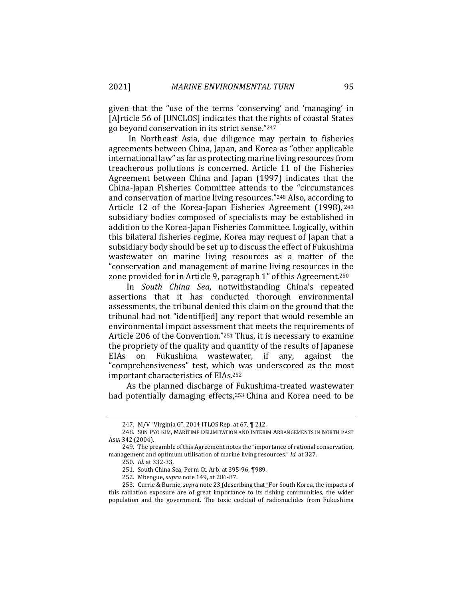given that the "use of the terms 'conserving' and 'managing' in [A]rticle 56 of [UNCLOS] indicates that the rights of coastal States go beyond conservation in its strict sense."247

 In Northeast Asia, due diligence may pertain to fisheries agreements between China, Japan, and Korea as "other applicable international law" as far as protecting marine living resources from treacherous pollutions is concerned. Article 11 of the Fisheries Agreement between China and Japan (1997) indicates that the China-Japan Fisheries Committee attends to the "circumstances and conservation of marine living resources."248 Also, according to Article 12 of the Korea-Japan Fisheries Agreement (1998), <sup>249</sup> subsidiary bodies composed of specialists may be established in addition to the Korea-Japan Fisheries Committee. Logically, within this bilateral fisheries regime, Korea may request of Japan that a subsidiary body should be set up to discuss the effect of Fukushima wastewater on marine living resources as a matter of the "conservation and management of marine living resources in the zone provided for in Article 9, paragraph 1" of this Agreement.250

In *South China Sea*, notwithstanding China's repeated assertions that it has conducted thorough environmental assessments, the tribunal denied this claim on the ground that the tribunal had not "identif[ied] any report that would resemble an environmental impact assessment that meets the requirements of Article 206 of the Convention."251 Thus, it is necessary to examine the propriety of the quality and quantity of the results of Japanese EIAs on Fukushima wastewater, if any, against the "comprehensiveness" test, which was underscored as the most important characteristics of EIAs.252

As the planned discharge of Fukushima-treated wastewater had potentially damaging effects,253 China and Korea need to be

<sup>247.</sup> M/V "Virginia G", 2014 ITLOS Rep. at 67, ¶ 212.

<sup>248.</sup> SUN PYO KIM, MARITIME DELIMITATION AND INTERIM ARRANGEMENTS IN NORTH EAST ASIA 342 (2004).

<sup>249.</sup> The preamble of this Agreement notes the "importance of rational conservation, management and optimum utilisation of marine living resources." *Id.* at 327.

<sup>250.</sup> *Id.* at 332-33.

<sup>251.</sup> South China Sea, Perm Ct. Arb. at 395-96, ¶989.

<sup>252.</sup> Mbengue, *supra* note 149, at 286-87.

<sup>253.</sup> Currie & Burnie, *supra* note 23 (describing that "For South Korea, the impacts of this radiation exposure are of great importance to its fishing communities, the wider population and the government. The toxic cocktail of radionuclides from Fukushima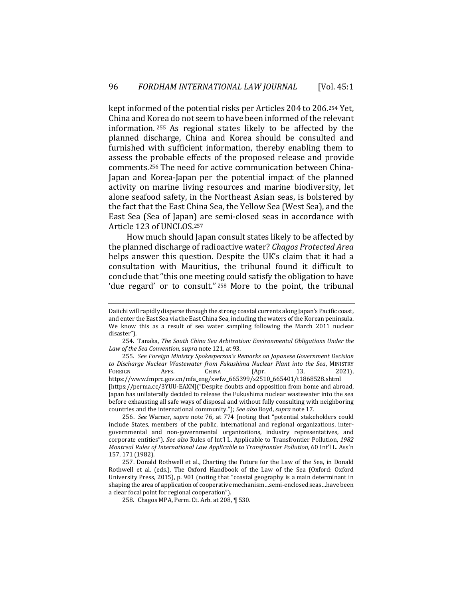kept informed of the potential risks per Articles 204 to 206.254 Yet, China and Korea do not seem to have been informed of the relevant information. 255 As regional states likely to be affected by the planned discharge, China and Korea should be consulted and furnished with sufficient information, thereby enabling them to assess the probable effects of the proposed release and provide comments.256 The need for active communication between China-Japan and Korea-Japan per the potential impact of the planned activity on marine living resources and marine biodiversity, let alone seafood safety, in the Northeast Asian seas, is bolstered by the fact that the East China Sea, the Yellow Sea (West Sea), and the East Sea (Sea of Japan) are semi-closed seas in accordance with Article 123 of UNCLOS.257

How much should Japan consult states likely to be affected by the planned discharge of radioactive water? *Chagos Protected Area* helps answer this question. Despite the UK's claim that it had a consultation with Mauritius, the tribunal found it difficult to conclude that "this one meeting could satisfy the obligation to have 'due regard' or to consult." 258 More to the point, the tribunal

254. Tanaka, *The South China Sea Arbitration: Environmental Obligations Under the Law of the Sea Convention,* s*upra* note 121, at 93.

255. *See Foreign Ministry Spokesperson's Remarks on Japanese Government Decision to Discharge Nuclear Wastewater from Fukushima Nuclear Plant into the Sea*, MINISTRY FOREIGN AFFS. CHINA (Apr. 13, 2021), https://www.fmprc.gov.cn/mfa\_eng/xwfw\_665399/s2510\_665401/t1868528.shtml [https://perma.cc/3YUU-EAXN]("Despite doubts and opposition from home and abroad, Japan has unilaterally decided to release the Fukushima nuclear wastewater into the sea before exhausting all safe ways of disposal and without fully consulting with neighboring countries and the international community."); *See also* Boyd, *supra* note 17.

256. *See* Warner, *supra* note 76, at 774 (noting that "potential stakeholders could include States, members of the public, international and regional organizations, intergovernmental and non-governmental organizations, industry representatives, and corporate entities"). *See also* Rules of Int'l L. Applicable to Transfrontier Pollution, *1982 Montreal Rules of International Law Applicable to Transfrontier Pollution,* 60 Int'l L. Ass'n 157, 171 (1982).

257. Donald Rothwell et al., Charting the Future for the Law of the Sea, in Donald Rothwell et al. (eds.), The Oxford Handbook of the Law of the Sea (Oxford: Oxford University Press, 2015), p. 901 (noting that "coastal geography is a main determinant in shaping the area of application of cooperative mechanism…semi-enclosed seas…have been a clear focal point for regional cooperation").

258. Chagos MPA, Perm. Ct. Arb. at 208, ¶ 530.

Daiichi will rapidly disperse through the strong coastal currents along Japan's Pacific coast, and enter the East Sea via the East China Sea, including the waters of the Korean peninsula. We know this as a result of sea water sampling following the March 2011 nuclear disaster").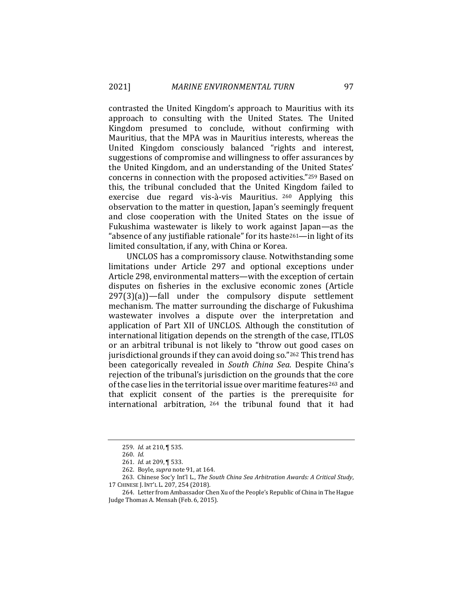contrasted the United Kingdom's approach to Mauritius with its approach to consulting with the United States. The United Kingdom presumed to conclude, without confirming with Mauritius, that the MPA was in Mauritius interests, whereas the United Kingdom consciously balanced "rights and interest, suggestions of compromise and willingness to offer assurances by the United Kingdom, and an understanding of the United States' concerns in connection with the proposed activities."259 Based on this, the tribunal concluded that the United Kingdom failed to exercise due regard vis-à-vis Mauritius. 260 Applying this observation to the matter in question, Japan's seemingly frequent and close cooperation with the United States on the issue of Fukushima wastewater is likely to work against Japan—as the "absence of any justifiable rationale" for its haste261—in light of its limited consultation, if any, with China or Korea.

UNCLOS has a compromissory clause. Notwithstanding some limitations under Article 297 and optional exceptions under Article 298, environmental matters—with the exception of certain disputes on fisheries in the exclusive economic zones (Article  $297(3)(a)$ —fall under the compulsory dispute settlement mechanism. The matter surrounding the discharge of Fukushima wastewater involves a dispute over the interpretation and application of Part XII of UNCLOS. Although the constitution of international litigation depends on the strength of the case, ITLOS or an arbitral tribunal is not likely to "throw out good cases on jurisdictional grounds if they can avoid doing so."262 This trend has been categorically revealed in *South China Sea*. Despite China's rejection of the tribunal's jurisdiction on the grounds that the core of the case lies in the territorial issue over maritime features263 and that explicit consent of the parties is the prerequisite for international arbitration, 264 the tribunal found that it had

<sup>259.</sup> *Id.* at 210, ¶ 535.

<sup>260.</sup> *Id.* 

<sup>261.</sup> *Id.* at 209, ¶ 533.

<sup>262.</sup> Boyle, *supra* note 91, at 164.

<sup>263.</sup> Chinese Soc'y Int'l L., *The South China Sea Arbitration Awards: A Critical Study*, 17 CHINESE J. INT'L L. 207, 254 (2018).

<sup>264.</sup> Letter from Ambassador Chen Xu of the People's Republic of China in The Hague Judge Thomas A. Mensah (Feb. 6, 2015).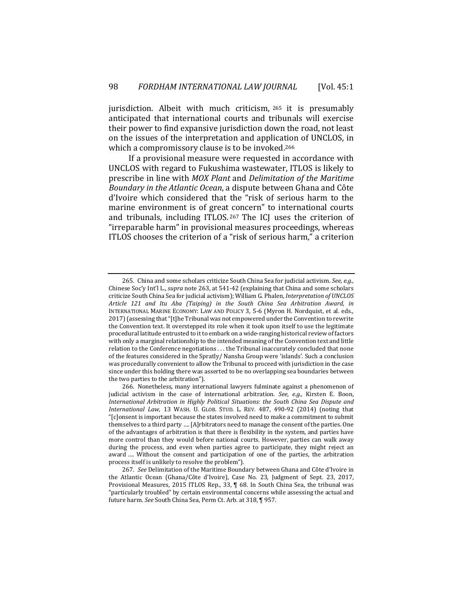jurisdiction. Albeit with much criticism, <sup>265</sup> it is presumably anticipated that international courts and tribunals will exercise their power to find expansive jurisdiction down the road, not least on the issues of the interpretation and application of UNCLOS, in which a compromissory clause is to be invoked.<sup>266</sup>

 If a provisional measure were requested in accordance with UNCLOS with regard to Fukushima wastewater, ITLOS is likely to prescribe in line with *MOX Plant* and *Delimitation of the Maritime Boundary in the Atlantic Ocean*, a dispute between Ghana and Côte d'Ivoire which considered that the "risk of serious harm to the marine environment is of great concern" to international courts and tribunals, including ITLOS. 267 The ICJ uses the criterion of "irreparable harm" in provisional measures proceedings, whereas ITLOS chooses the criterion of a "risk of serious harm," a criterion

<sup>265.</sup> China and some scholars criticize South China Sea for judicial activism. *See, e.g.,* Chinese Soc'y Int'l L., *supra* note 263, at 541-42 (explaining that China and some scholars criticize South China Sea for judicial activism); William G. Phalen, *Interpretation of UNCLOS Article 121 and Itu Aba (Taiping) in the South China Sea Arbitration Award, in* INTERNATIONAL MARINE ECONOMY: LAW AND POLICY 3, 5-6 (Myron H. Nordquist, et al. eds., 2017) (assessing that "[t]he Tribunal was not empowered under the Convention to rewrite the Convention text. It overstepped its role when it took upon itself to use the legitimate procedural latitude entrusted to it to embark on a wide-ranging historical review of factors with only a marginal relationship to the intended meaning of the Convention text and little relation to the Conference negotiations . . . the Tribunal inaccurately concluded that none of the features considered in the Spratly/ Nansha Group were 'islands'. Such a conclusion was procedurally convenient to allow the Tribunal to proceed with jurisdiction in the case since under this holding there was asserted to be no overlapping sea boundaries between the two parties to the arbitration").

<sup>266.</sup> Nonetheless, many international lawyers fulminate against a phenomenon of judicial activism in the case of international arbitration. *See, e.g.,* Kirsten E. Boon, *International Arbitration in Highly Political Situations: the South China Sea Dispute and International Law*, 13 WASH. U. GLOB. STUD. L. REV. 487, 490-92 (2014) (noting that "[c]onsent is important because the states involved need to make a commitment to submit themselves to a third party …. [A]rbitrators need to manage the consent of the parties. One of the advantages of arbitration is that there is flexibility in the system, and parties have more control than they would before national courts. However, parties can walk away during the process, and even when parties agree to participate, they might reject an award …. Without the consent and participation of one of the parties, the arbitration process itself is unlikely to resolve the problem").

<sup>267.</sup> *See* Delimitation of the Maritime Boundary between Ghana and Côte d'Ivoire in the Atlantic Ocean (Ghana/Côte d'Ivoire), Case No. 23, Judgment of Sept. 23, 2017, Provisional Measures, 2015 ITLOS Rep., 33, ¶ 68. In South China Sea, the tribunal was "particularly troubled" by certain environmental concerns while assessing the actual and future harm. *See* South China Sea, Perm Ct. Arb. at 318, ¶ 957.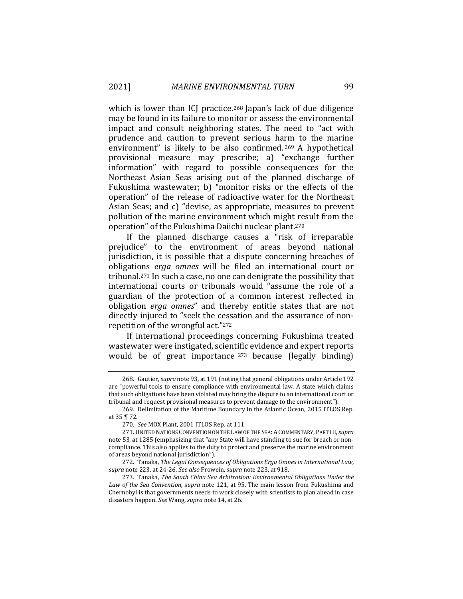which is lower than ICJ practice.<sup>268</sup> Japan's lack of due diligence may be found in its failure to monitor or assess the environmental impact and consult neighboring states. The need to "act with prudence and caution to prevent serious harm to the marine environment" is likely to be also confirmed. 269 A hypothetical provisional measure may prescribe; a) "exchange further information" with regard to possible consequences for the Northeast Asian Seas arising out of the planned discharge of Fukushima wastewater; b) "monitor risks or the effects of the operation" of the release of radioactive water for the Northeast Asian Seas; and c) "devise, as appropriate, measures to prevent pollution of the marine environment which might result from the operation" of the Fukushima Daiichi nuclear plant.270

If the planned discharge causes a "risk of irreparable prejudice" to the environment of areas beyond national jurisdiction, it is possible that a dispute concerning breaches of obligations *erga omnes* will be filed an international court or tribunal.271 In such a case, no one can denigrate the possibility that international courts or tribunals would "assume the role of a guardian of the protection of a common interest reflected in obligation *erga omnes*" and thereby entitle states that are not directly injured to "seek the cessation and the assurance of nonrepetition of the wrongful act."272

If international proceedings concerning Fukushima treated wastewater were instigated, scientific evidence and expert reports would be of great importance 273 because (legally binding)

<sup>268.</sup> Gautier, *supra* note 93, at 191 (noting that general obligations under Article 192 are "powerful tools to ensure compliance with environmental law. A state which claims that such obligations have been violated may bring the dispute to an international court or tribunal and request provisional measures to prevent damage to the environment").

<sup>269.</sup> Delimitation of the Maritime Boundary in the Atlantic Ocean, 2015 ITLOS Rep. at 35 ¶ 72.

<sup>270.</sup> *See* MOX Plant, 2001 ITLOS Rep. at 111.

<sup>271.</sup> UNITED NATIONS CONVENTION ON THE LAW OF THE SEA:ACOMMENTARY, PART III,*supra* note 53, at 1285 (emphasizing that "any State will have standing to sue for breach or noncompliance. This also applies to the duty to protect and preserve the marine environment of areas beyond national jurisdiction").

<sup>272.</sup> Tanaka, *The Legal Consequences of Obligations Erga Omnes in International Law*, *supra* note 223, at 24-26. *See also* Frowein*, supra* note 223, at 918.

<sup>273.</sup> Tanaka, *The South China Sea Arbitration: Environmental Obligations Under the Law of the Sea Convention,* s*upra* note 121, at 95. The main lesson from Fukushima and Chernobyl is that governments needs to work closely with scientists to plan ahead in case disasters happen. *See* Wang, *supra* note 14, at 26.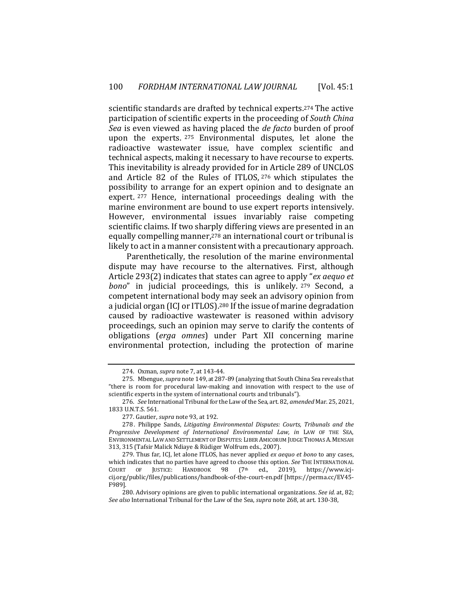scientific standards are drafted by technical experts.274 The active participation of scientific experts in the proceeding of *South China Sea* is even viewed as having placed the *de facto* burden of proof upon the experts. 275 Environmental disputes, let alone the radioactive wastewater issue, have complex scientific and technical aspects, making it necessary to have recourse to experts. This inevitability is already provided for in Article 289 of UNCLOS and Article 82 of the Rules of ITLOS, 276 which stipulates the possibility to arrange for an expert opinion and to designate an expert.<sup>277</sup> Hence, international proceedings dealing with the marine environment are bound to use expert reports intensively. However, environmental issues invariably raise competing scientific claims. If two sharply differing views are presented in an equally compelling manner,278 an international court or tribunal is likely to act in a manner consistent with a precautionary approach.

Parenthetically, the resolution of the marine environmental dispute may have recourse to the alternatives. First, although Article 293(2) indicates that states can agree to apply "*ex aequo et bono*" in judicial proceedings, this is unlikely. 279 Second, a competent international body may seek an advisory opinion from a judicial organ (ICJ or ITLOS).280 If the issue of marine degradation caused by radioactive wastewater is reasoned within advisory proceedings, such an opinion may serve to clarify the contents of obligations (*erga omnes*) under Part XII concerning marine environmental protection, including the protection of marine

<sup>274.</sup> Oxman*, supra* note 7, at 143-44.

<sup>275.</sup> Mbengue, *supra* note 149, at 287-89 (analyzing that South China Sea reveals that "there is room for procedural law-making and innovation with respect to the use of scientific experts in the system of international courts and tribunals").

<sup>276.</sup> *See* International Tribunal for the Law of the Sea, art. 82, *amended* Mar. 25, 2021, 1833 U.N.T.S. 561.

<sup>277.</sup> Gautier, *supra* note 93, at 192.

<sup>278.</sup> Philippe Sands, *Litigating Environmental Disputes: Courts, Tribunals and the Progressive Development of International Environmental Law, in* LAW OF THE SEA, ENVIRONMENTAL LAW AND SETTLEMENT OF DISPUTES: LIBER AMICORUM JUDGE THOMAS A. MENSAH 313, 315 (Tafsir Malick Ndiaye & Rüdiger Wolfrum eds., 2007).

<sup>279.</sup> Thus far, ICJ, let alone ITLOS, has never applied *ex aequo et bono* to any cases, which indicates that no parties have agreed to choose this option. *See* THE INTERNATIONAL COURT OF JUSTICE: HANDBOOK 98 (7th ed., 2019), https://www.icjcij.org/public/files/publications/handbook-of-the-court-en.pdf [https://perma.cc/EV45- F989].

<sup>280.</sup> Advisory opinions are given to public international organizations. *See id.* at, 82; *See also* International Tribunal for the Law of the Sea, *supra* note 268, at art. 130-38,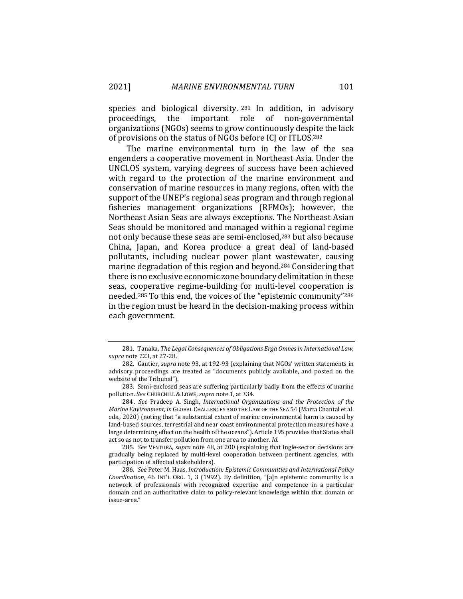species and biological diversity. <sup>281</sup> In addition, in advisory proceedings, the important role of non-governmental organizations (NGOs) seems to grow continuously despite the lack of provisions on the status of NGOs before ICJ or ITLOS.282

The marine environmental turn in the law of the sea engenders a cooperative movement in Northeast Asia. Under the UNCLOS system, varying degrees of success have been achieved with regard to the protection of the marine environment and conservation of marine resources in many regions, often with the support of the UNEP's regional seas program and through regional fisheries management organizations (RFMOs); however, the Northeast Asian Seas are always exceptions. The Northeast Asian Seas should be monitored and managed within a regional regime not only because these seas are semi-enclosed,283 but also because China, Japan, and Korea produce a great deal of land-based pollutants, including nuclear power plant wastewater, causing marine degradation of this region and beyond.284 Considering that there is no exclusive economic zone boundary delimitation in these seas, cooperative regime-building for multi-level cooperation is needed.285 To this end, the voices of the "epistemic community"286 in the region must be heard in the decision-making process within each government.

<sup>281.</sup> Tanaka, *The Legal Consequences of Obligations Erga Omnes in International Law, supra* note 223, at 27-28.

<sup>282.</sup> Gautier, *supra* note 93, at 192-93 (explaining that NGOs' written statements in advisory proceedings are treated as "documents publicly available, and posted on the website of the Tribunal").

<sup>283.</sup> Semi-enclosed seas are suffering particularly badly from the effects of marine pollution. *See* CHURCHILL & LOWE, *supra* note 1, at 334.

<sup>284 .</sup> *See* Pradeep A. Singh, *International Organizations and the Protection of the Marine Environment*, *in* GLOBAL CHALLENGES AND THE LAW OF THE SEA 54 (Marta Chantal et al. eds., 2020) (noting that "a substantial extent of marine environmental harm is caused by land-based sources, terrestrial and near coast environmental protection measures have a large determining effect on the health of the oceans"). Article 195 provides that States shall act so as not to transfer pollution from one area to another. *Id.* 

<sup>285.</sup> *See* VENTURA, *supra* note 48, at 200 (explaining that ingle-sector decisions are gradually being replaced by multi-level cooperation between pertinent agencies, with participation of affected stakeholders).

<sup>286.</sup> *See* Peter M. Haas, *Introduction: Epistemic Communities and International Policy Coordination*, 46 INT'L ORG. 1, 3 (1992). By definition, "[a]n epistemic community is a network of professionals with recognized expertise and competence in a particular domain and an authoritative claim to policy-relevant knowledge within that domain or issue-area."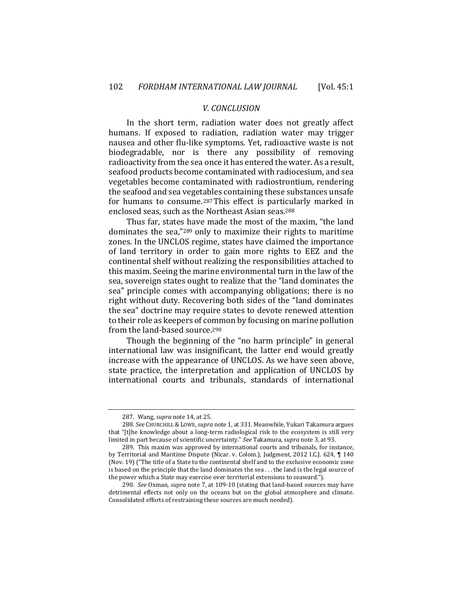#### *V. CONCLUSION*

In the short term, radiation water does not greatly affect humans. If exposed to radiation, radiation water may trigger nausea and other flu-like symptoms. Yet, radioactive waste is not biodegradable, nor is there any possibility of removing radioactivity from the sea once it has entered the water. As a result, seafood products become contaminated with radiocesium, and sea vegetables become contaminated with radiostrontium, rendering the seafood and sea vegetables containing these substances unsafe for humans to consume. 287This effect is particularly marked in enclosed seas, such as the Northeast Asian seas.288

Thus far, states have made the most of the maxim, "the land dominates the sea,"289 only to maximize their rights to maritime zones. In the UNCLOS regime, states have claimed the importance of land territory in order to gain more rights to EEZ and the continental shelf without realizing the responsibilities attached to this maxim. Seeing the marine environmental turn in the law of the sea, sovereign states ought to realize that the "land dominates the sea" principle comes with accompanying obligations; there is no right without duty. Recovering both sides of the "land dominates the sea" doctrine may require states to devote renewed attention to their role as keepers of common by focusing on marine pollution from the land-based source.290

Though the beginning of the "no harm principle" in general international law was insignificant, the latter end would greatly increase with the appearance of UNCLOS. As we have seen above, state practice, the interpretation and application of UNCLOS by international courts and tribunals, standards of international

<sup>287.</sup> Wang, *supra* note 14, at 25.

<sup>288.</sup> *See* CHURCHILL &LOWE, *supra* note 1, at 331. Meanwhile, Yukari Takamura argues that "[t]he knowledge about a long-term radiological risk to the ecosystem is still very limited in part because of scientific uncertainty." *See* Takamura, *supra* note 3, at 93.

<sup>289.</sup> This maxim was approved by international courts and tribunals, for instance, by Territorial and Maritime Dispute (Nicar. v. Colom.), Judgment, 2012 I.C.J. 624, ¶ 140 (Nov. 19) ("The title of a State to the continental shelf and to the exclusive economic zone is based on the principle that the land dominates the sea . . . the land is the legal source of the power which a State may exercise over territorial extensions to seaward.").

<sup>290.</sup> *See* Oxman*, supra* note 7, at 109-10 (stating that land-based sources may have detrimental effects not only on the oceans but on the global atmosphere and climate. Consolidated efforts of restraining these sources are much needed).